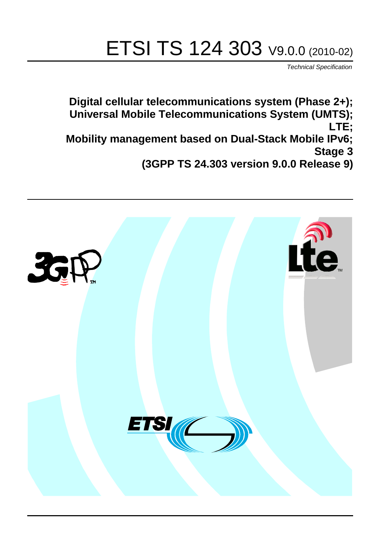# ETSI TS 124 303 V9.0.0 (2010-02)

*Technical Specification*

**Digital cellular telecommunications system (Phase 2+); Universal Mobile Telecommunications System (UMTS); LTE; Mobility management based on Dual-Stack Mobile IPv6; Stage 3 (3GPP TS 24.303 version 9.0.0 Release 9)**

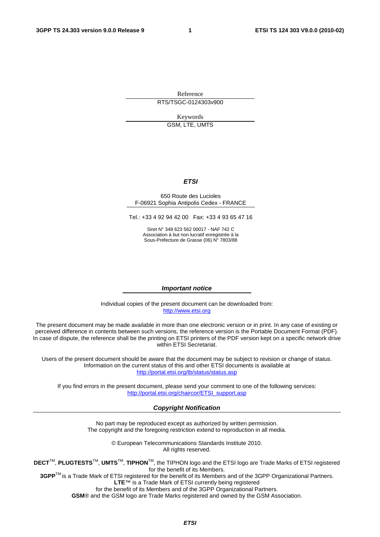Reference RTS/TSGC-0124303v900

Keywords

GSM, LTE, UMTS

#### *ETSI*

#### 650 Route des Lucioles F-06921 Sophia Antipolis Cedex - FRANCE

Tel.: +33 4 92 94 42 00 Fax: +33 4 93 65 47 16

Siret N° 348 623 562 00017 - NAF 742 C Association à but non lucratif enregistrée à la Sous-Préfecture de Grasse (06) N° 7803/88

#### *Important notice*

Individual copies of the present document can be downloaded from: [http://www.etsi.org](http://www.etsi.org/)

The present document may be made available in more than one electronic version or in print. In any case of existing or perceived difference in contents between such versions, the reference version is the Portable Document Format (PDF). In case of dispute, the reference shall be the printing on ETSI printers of the PDF version kept on a specific network drive within ETSI Secretariat.

Users of the present document should be aware that the document may be subject to revision or change of status. Information on the current status of this and other ETSI documents is available at <http://portal.etsi.org/tb/status/status.asp>

If you find errors in the present document, please send your comment to one of the following services: [http://portal.etsi.org/chaircor/ETSI\\_support.asp](http://portal.etsi.org/chaircor/ETSI_support.asp)

#### *Copyright Notification*

No part may be reproduced except as authorized by written permission. The copyright and the foregoing restriction extend to reproduction in all media.

> © European Telecommunications Standards Institute 2010. All rights reserved.

**DECT**TM, **PLUGTESTS**TM, **UMTS**TM, **TIPHON**TM, the TIPHON logo and the ETSI logo are Trade Marks of ETSI registered for the benefit of its Members.

**3GPP**TM is a Trade Mark of ETSI registered for the benefit of its Members and of the 3GPP Organizational Partners. **LTE**™ is a Trade Mark of ETSI currently being registered

for the benefit of its Members and of the 3GPP Organizational Partners.

**GSM**® and the GSM logo are Trade Marks registered and owned by the GSM Association.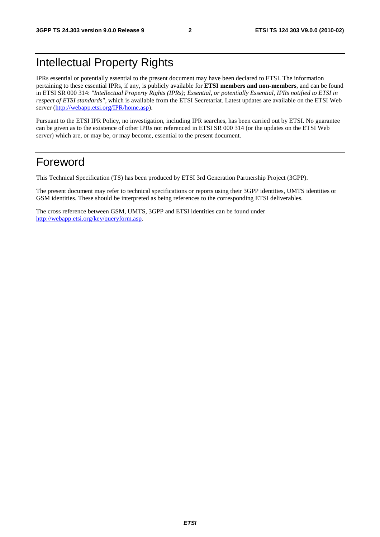### Intellectual Property Rights

IPRs essential or potentially essential to the present document may have been declared to ETSI. The information pertaining to these essential IPRs, if any, is publicly available for **ETSI members and non-members**, and can be found in ETSI SR 000 314: *"Intellectual Property Rights (IPRs); Essential, or potentially Essential, IPRs notified to ETSI in respect of ETSI standards"*, which is available from the ETSI Secretariat. Latest updates are available on the ETSI Web server [\(http://webapp.etsi.org/IPR/home.asp](http://webapp.etsi.org/IPR/home.asp)).

Pursuant to the ETSI IPR Policy, no investigation, including IPR searches, has been carried out by ETSI. No guarantee can be given as to the existence of other IPRs not referenced in ETSI SR 000 314 (or the updates on the ETSI Web server) which are, or may be, or may become, essential to the present document.

### Foreword

This Technical Specification (TS) has been produced by ETSI 3rd Generation Partnership Project (3GPP).

The present document may refer to technical specifications or reports using their 3GPP identities, UMTS identities or GSM identities. These should be interpreted as being references to the corresponding ETSI deliverables.

The cross reference between GSM, UMTS, 3GPP and ETSI identities can be found under [http://webapp.etsi.org/key/queryform.asp.](http://webapp.etsi.org/key/queryform.asp)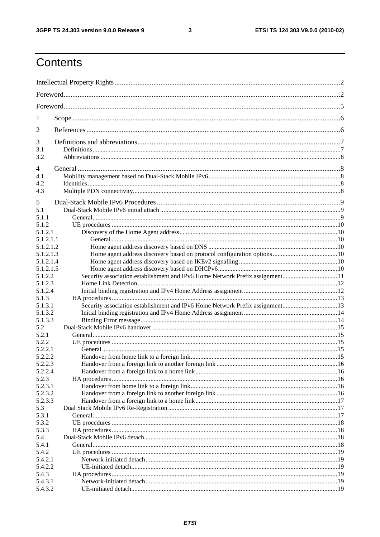$\mathbf{3}$ 

### Contents

| 1                |                                                                              |  |
|------------------|------------------------------------------------------------------------------|--|
| 2                |                                                                              |  |
| 3                |                                                                              |  |
| 3.1              |                                                                              |  |
| 3.2              |                                                                              |  |
| 4                |                                                                              |  |
| 4.1              |                                                                              |  |
| 4.2              |                                                                              |  |
| 4.3              |                                                                              |  |
| 5                |                                                                              |  |
| 5.1              |                                                                              |  |
| 5.1.1            |                                                                              |  |
| 5.1.2            |                                                                              |  |
| 5.1.2.1          |                                                                              |  |
| 5.1.2.1.1        |                                                                              |  |
| 5.1.2.1.2        |                                                                              |  |
| 5.1.2.1.3        |                                                                              |  |
| 5.1.2.1.4        |                                                                              |  |
| 5.1.2.1.5        |                                                                              |  |
| 5.1.2.2          |                                                                              |  |
| 5.1.2.3          |                                                                              |  |
| 5.1.2.4          |                                                                              |  |
| 5.1.3<br>5.1.3.1 |                                                                              |  |
| 5.1.3.2          | Security association establishment and IPv6 Home Network Prefix assignment13 |  |
| 5.1.3.3          |                                                                              |  |
| 5.2              |                                                                              |  |
| 5.2.1            |                                                                              |  |
| 5.2.2            |                                                                              |  |
| 5.2.2.1          |                                                                              |  |
| 5.2.2.2          |                                                                              |  |
| 5.2.2.3          |                                                                              |  |
| 5.2.2.4          |                                                                              |  |
| 5.2.3            |                                                                              |  |
| 5.2.3.1          |                                                                              |  |
| 5.2.3.2          |                                                                              |  |
| 5.2.3.3<br>5.3   |                                                                              |  |
| 5.3.1            |                                                                              |  |
| 5.3.2            |                                                                              |  |
| 5.3.3            |                                                                              |  |
| 5.4              |                                                                              |  |
| 5.4.1            |                                                                              |  |
| 5.4.2            |                                                                              |  |
| 5.4.2.1          |                                                                              |  |
| 5.4.2.2          |                                                                              |  |
| 5.4.3            |                                                                              |  |
| 5.4.3.1          |                                                                              |  |
| 5.4.3.2          |                                                                              |  |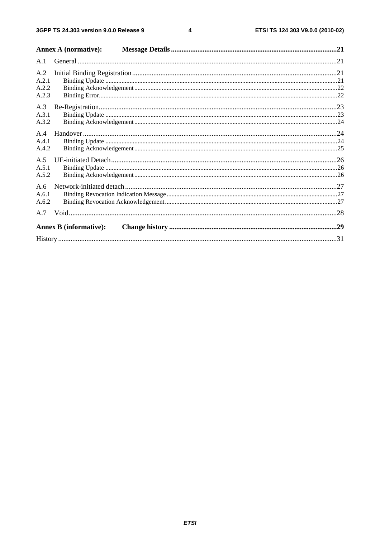$\overline{\mathbf{4}}$ 

| <b>Annex A (normative):</b>   |  |
|-------------------------------|--|
|                               |  |
|                               |  |
| A.2.2                         |  |
|                               |  |
|                               |  |
|                               |  |
|                               |  |
|                               |  |
|                               |  |
|                               |  |
|                               |  |
|                               |  |
| <b>Annex B</b> (informative): |  |
|                               |  |
|                               |  |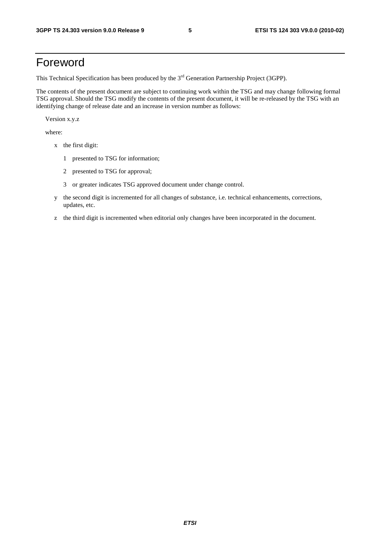### Foreword

This Technical Specification has been produced by the 3<sup>rd</sup> Generation Partnership Project (3GPP).

The contents of the present document are subject to continuing work within the TSG and may change following formal TSG approval. Should the TSG modify the contents of the present document, it will be re-released by the TSG with an identifying change of release date and an increase in version number as follows:

Version x.y.z

where:

- x the first digit:
	- 1 presented to TSG for information;
	- 2 presented to TSG for approval;
	- 3 or greater indicates TSG approved document under change control.
- y the second digit is incremented for all changes of substance, i.e. technical enhancements, corrections, updates, etc.
- z the third digit is incremented when editorial only changes have been incorporated in the document.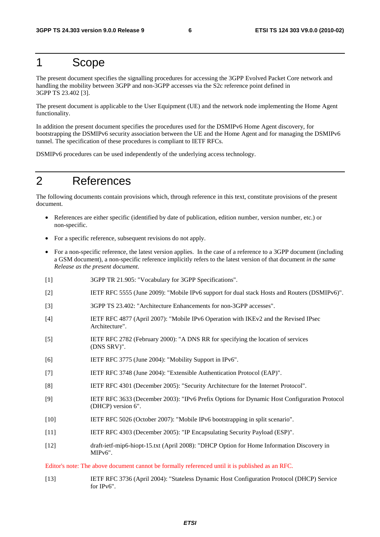### 1 Scope

The present document specifies the signalling procedures for accessing the 3GPP Evolved Packet Core network and handling the mobility between 3GPP and non-3GPP accesses via the S2c reference point defined in 3GPP TS 23.402 [3].

The present document is applicable to the User Equipment (UE) and the network node implementing the Home Agent functionality.

In addition the present document specifies the procedures used for the DSMIPv6 Home Agent discovery, for bootstrapping the DSMIPv6 security association between the UE and the Home Agent and for managing the DSMIPv6 tunnel. The specification of these procedures is compliant to IETF RFCs.

DSMIPv6 procedures can be used independently of the underlying access technology.

### 2 References

The following documents contain provisions which, through reference in this text, constitute provisions of the present document.

- References are either specific (identified by date of publication, edition number, version number, etc.) or non-specific.
- For a specific reference, subsequent revisions do not apply.
- For a non-specific reference, the latest version applies. In the case of a reference to a 3GPP document (including a GSM document), a non-specific reference implicitly refers to the latest version of that document *in the same Release as the present document*.
- [1] 3GPP TR 21.905: "Vocabulary for 3GPP Specifications".
- [2] IETF RFC 5555 (June 2009): "Mobile IPv6 support for dual stack Hosts and Routers (DSMIPv6)".
- [3] 3GPP TS 23.402: "Architecture Enhancements for non-3GPP accesses".
- [4] IETF RFC 4877 (April 2007): "Mobile IPv6 Operation with IKEv2 and the Revised IPsec Architecture".
- [5] IETF RFC 2782 (February 2000): "A DNS RR for specifying the location of services (DNS SRV)".
- [6] IETF RFC 3775 (June 2004): "Mobility Support in IPv6".
- [7] IETF RFC 3748 (June 2004): "Extensible Authentication Protocol (EAP)".
- [8] IETF RFC 4301 (December 2005): "Security Architecture for the Internet Protocol".
- [9] IETF RFC 3633 (December 2003): "IPv6 Prefix Options for Dynamic Host Configuration Protocol (DHCP) version 6".
- [10] IETF RFC 5026 (October 2007): "Mobile IPv6 bootstrapping in split scenario".
- [11] IETF RFC 4303 (December 2005): "IP Encapsulating Security Payload (ESP)".
- [12] draft-ietf-mip6-hiopt-15.txt (April 2008): "DHCP Option for Home Information Discovery in MIPv6".

Editor's note: The above document cannot be formally referenced until it is published as an RFC.

[13] IETF RFC 3736 (April 2004): "Stateless Dynamic Host Configuration Protocol (DHCP) Service for IPv6".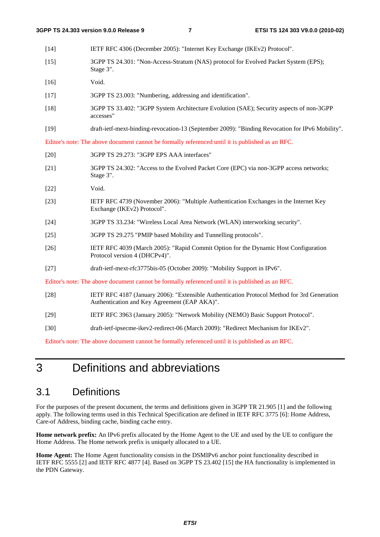- [14] IETF RFC 4306 (December 2005): "Internet Key Exchange (IKEv2) Protocol".
- [15] 3GPP TS 24.301: "Non-Access-Stratum (NAS) protocol for Evolved Packet System (EPS); Stage 3".
- [16] Void.
- [17] 3GPP TS 23.003: "Numbering, addressing and identification".
- [18] 3GPP TS 33.402: "3GPP System Architecture Evolution (SAE); Security aspects of non-3GPP accesses"
- [19] draft-ietf-mext-binding-revocation-13 (September 2009): "Binding Revocation for IPv6 Mobility".

Editor's note: The above document cannot be formally referenced until it is published as an RFC.

- [20] 3GPP TS 29.273: "3GPP EPS AAA interfaces"
- [21] 3GPP TS 24.302: "Access to the Evolved Packet Core (EPC) via non-3GPP access networks; Stage 3".
- [22] Void.
- [23] IETF RFC 4739 (November 2006): "Multiple Authentication Exchanges in the Internet Key Exchange (IKEv2) Protocol".
- [24] 3GPP TS 33.234: "Wireless Local Area Network (WLAN) interworking security".
- [25] 3GPP TS 29.275 "PMIP based Mobility and Tunnelling protocols".
- [26] IETF RFC 4039 (March 2005): "Rapid Commit Option for the Dynamic Host Configuration Protocol version 4 (DHCPv4)".
- [27] draft-ietf-mext-rfc3775bis-05 (October 2009): "Mobility Support in IPv6".

Editor's note: The above document cannot be formally referenced until it is published as an RFC.

- [28] IETF RFC 4187 (January 2006): "Extensible Authentication Protocol Method for 3rd Generation Authentication and Key Agreement (EAP AKA)".
- [29] IETF RFC 3963 (January 2005): "Network Mobility (NEMO) Basic Support Protocol".
- [30] draft-ietf-ipsecme-ikev2-redirect-06 (March 2009): "Redirect Mechanism for IKEv2".

Editor's note: The above document cannot be formally referenced until it is published as an RFC.

### 3 Definitions and abbreviations

### 3.1 Definitions

For the purposes of the present document, the terms and definitions given in 3GPP TR 21.905 [1] and the following apply. The following terms used in this Technical Specification are defined in IETF RFC 3775 [6]: Home Address, Care-of Address, binding cache, binding cache entry.

**Home network prefix:** An IPv6 prefix allocated by the Home Agent to the UE and used by the UE to configure the Home Address. The Home network prefix is uniquely allocated to a UE.

**Home Agent:** The Home Agent functionality consists in the DSMIPv6 anchor point functionality described in IETF RFC 5555 [2] and IETF RFC 4877 [4]. Based on 3GPP TS 23.402 [15] the HA functionality is implemented in the PDN Gateway.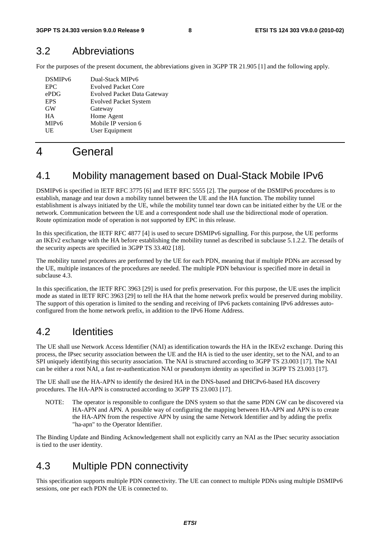### 3.2 Abbreviations

For the purposes of the present document, the abbreviations given in 3GPP TR 21.905 [1] and the following apply.

| DSMIP <sub>v6</sub> | Dual-Stack MIPv6                   |
|---------------------|------------------------------------|
| <b>EPC</b>          | <b>Evolved Packet Core</b>         |
| ePDG                | <b>Evolved Packet Data Gateway</b> |
| <b>EPS</b>          | <b>Evolved Packet System</b>       |
| <b>GW</b>           | Gateway                            |
| <b>HA</b>           | Home Agent                         |
| MIP <sub>v</sub> 6  | Mobile IP version 6                |
| UE                  | User Equipment                     |
|                     |                                    |

### 4 General

### 4.1 Mobility management based on Dual-Stack Mobile IPv6

DSMIPv6 is specified in IETF RFC 3775 [6] and IETF RFC 5555 [2]. The purpose of the DSMIPv6 procedures is to establish, manage and tear down a mobility tunnel between the UE and the HA function. The mobility tunnel establishment is always initiated by the UE, while the mobility tunnel tear down can be initiated either by the UE or the network. Communication between the UE and a correspondent node shall use the bidirectional mode of operation. Route optimization mode of operation is not supported by EPC in this release.

In this specification, the IETF RFC 4877 [4] is used to secure DSMIPv6 signalling. For this purpose, the UE performs an IKEv2 exchange with the HA before establishing the mobility tunnel as described in subclause 5.1.2.2. The details of the security aspects are specified in 3GPP TS 33.402 [18].

The mobility tunnel procedures are performed by the UE for each PDN, meaning that if multiple PDNs are accessed by the UE, multiple instances of the procedures are needed. The multiple PDN behaviour is specified more in detail in subclause 4.3.

In this specification, the IETF RFC 3963 [29] is used for prefix preservation. For this purpose, the UE uses the implicit mode as stated in IETF RFC 3963 [29] to tell the HA that the home network prefix would be preserved during mobility. The support of this operation is limited to the sending and receiving of IPv6 packets containing IPv6 addresses autoconfigured from the home network prefix, in addition to the IPv6 Home Address.

### 4.2 Identities

The UE shall use Network Access Identifier (NAI) as identification towards the HA in the IKEv2 exchange. During this process, the IPsec security association between the UE and the HA is tied to the user identity, set to the NAI, and to an SPI uniquely identifying this security association. The NAI is structured according to 3GPP TS 23.003 [17]. The NAI can be either a root NAI, a fast re-authentication NAI or pseudonym identity as specified in 3GPP TS 23.003 [17].

The UE shall use the HA-APN to identify the desired HA in the DNS-based and DHCPv6-based HA discovery procedures. The HA-APN is constructed according to 3GPP TS 23.003 [17].

NOTE: The operator is responsible to configure the DNS system so that the same PDN GW can be discovered via HA-APN and APN. A possible way of configuring the mapping between HA-APN and APN is to create the HA-APN from the respective APN by using the same Network Identifier and by adding the prefix "ha-apn" to the Operator Identifier.

The Binding Update and Binding Acknowledgement shall not explicitly carry an NAI as the IPsec security association is tied to the user identity.

### 4.3 Multiple PDN connectivity

This specification supports multiple PDN connectivity. The UE can connect to multiple PDNs using multiple DSMIPv6 sessions, one per each PDN the UE is connected to.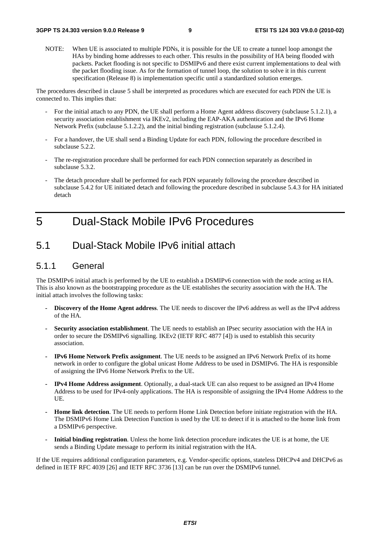NOTE: When UE is associated to multiple PDNs, it is possible for the UE to create a tunnel loop amongst the HAs by binding home addresses to each other. This results in the possibility of HA being flooded with packets. Packet flooding is not specific to DSMIPv6 and there exist current implementations to deal with the packet flooding issue. As for the formation of tunnel loop, the solution to solve it in this current specification (Release 8) is implementation specific until a standardized solution emerges.

The procedures described in clause 5 shall be interpreted as procedures which are executed for each PDN the UE is connected to. This implies that:

- For the initial attach to any PDN, the UE shall perform a Home Agent address discovery (subclause 5.1.2.1), a security association establishment via IKEv2, including the EAP-AKA authentication and the IPv6 Home Network Prefix (subclause 5.1.2.2), and the initial binding registration (subclause 5.1.2.4).
- For a handover, the UE shall send a Binding Update for each PDN, following the procedure described in subclause 5.2.2.
- The re-registration procedure shall be performed for each PDN connection separately as described in subclause 5.3.2.
- The detach procedure shall be performed for each PDN separately following the procedure described in subclause 5.4.2 for UE initiated detach and following the procedure described in subclause 5.4.3 for HA initiated detach

### 5 Dual-Stack Mobile IPv6 Procedures

### 5.1 Dual-Stack Mobile IPv6 initial attach

#### 5.1.1 General

The DSMIPv6 initial attach is performed by the UE to establish a DSMIPv6 connection with the node acting as HA. This is also known as the bootstrapping procedure as the UE establishes the security association with the HA. The initial attach involves the following tasks:

- **Discovery of the Home Agent address**. The UE needs to discover the IPv6 address as well as the IPv4 address of the HA.
- **Security association establishment**. The UE needs to establish an IPsec security association with the HA in order to secure the DSMIPv6 signalling. IKEv2 (IETF RFC 4877 [4]) is used to establish this security association.
- **IPv6 Home Network Prefix assignment**. The UE needs to be assigned an IPv6 Network Prefix of its home network in order to configure the global unicast Home Address to be used in DSMIPv6. The HA is responsible of assigning the IPv6 Home Network Prefix to the UE.
- **IPv4 Home Address assignment**. Optionally, a dual-stack UE can also request to be assigned an IPv4 Home Address to be used for IPv4-only applications. The HA is responsible of assigning the IPv4 Home Address to the UE.
- **Home link detection**. The UE needs to perform Home Link Detection before initiate registration with the HA. The DSMIPv6 Home Link Detection Function is used by the UE to detect if it is attached to the home link from a DSMIPv6 perspective.
- **Initial binding registration**. Unless the home link detection procedure indicates the UE is at home, the UE sends a Binding Update message to perform its initial registration with the HA.

If the UE requires additional configuration parameters, e.g. Vendor-specific options, stateless DHCPv4 and DHCPv6 as defined in IETF RFC 4039 [26] and IETF RFC 3736 [13] can be run over the DSMIPv6 tunnel.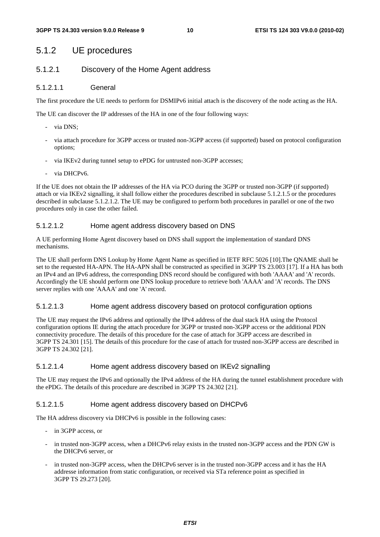#### 5.1.2 UE procedures

#### 5.1.2.1 Discovery of the Home Agent address

#### 5.1.2.1.1 General

The first procedure the UE needs to perform for DSMIPv6 initial attach is the discovery of the node acting as the HA.

The UE can discover the IP addresses of the HA in one of the four following ways:

- via DNS;
- via attach procedure for 3GPP access or trusted non-3GPP access (if supported) based on protocol configuration options;
- via IKEv2 during tunnel setup to ePDG for untrusted non-3GPP accesses;
- via DHCPv6.

If the UE does not obtain the IP addresses of the HA via PCO during the 3GPP or trusted non-3GPP (if supported) attach or via IKEv2 signalling, it shall follow either the procedures described in subclause 5.1.2.1.5 or the procedures described in subclause 5.1.2.1.2. The UE may be configured to perform both procedures in parallel or one of the two procedures only in case the other failed.

#### 5.1.2.1.2 Home agent address discovery based on DNS

A UE performing Home Agent discovery based on DNS shall support the implementation of standard DNS mechanisms.

The UE shall perform DNS Lookup by Home Agent Name as specified in IETF RFC 5026 [10].The QNAME shall be set to the requested HA-APN. The HA-APN shall be constructed as specified in 3GPP TS 23.003 [17]. If a HA has both an IPv4 and an IPv6 address, the corresponding DNS record should be configured with both 'AAAA' and 'A' records. Accordingly the UE should perform one DNS lookup procedure to retrieve both 'AAAA' and 'A' records. The DNS server replies with one 'AAAA' and one 'A' record.

#### 5.1.2.1.3 Home agent address discovery based on protocol configuration options

The UE may request the IPv6 address and optionally the IPv4 address of the dual stack HA using the Protocol configuration options IE during the attach procedure for 3GPP or trusted non-3GPP access or the additional PDN connectivity procedure. The details of this procedure for the case of attach for 3GPP access are described in 3GPP TS 24.301 [15]. The details of this procedure for the case of attach for trusted non-3GPP access are described in 3GPP TS 24.302 [21].

#### 5.1.2.1.4 Home agent address discovery based on IKEv2 signalling

The UE may request the IPv6 and optionally the IPv4 address of the HA during the tunnel establishment procedure with the ePDG. The details of this procedure are described in 3GPP TS 24.302 [21].

#### 5.1.2.1.5 Home agent address discovery based on DHCPv6

The HA address discovery via DHCPv6 is possible in the following cases:

- in 3GPP access, or
- in trusted non-3GPP access, when a DHCPv6 relay exists in the trusted non-3GPP access and the PDN GW is the DHCPv6 server, or
- in trusted non-3GPP access, when the DHCPv6 server is in the trusted non-3GPP access and it has the HA addresse information from static configuration, or received via STa reference point as specified in 3GPP TS 29.273 [20].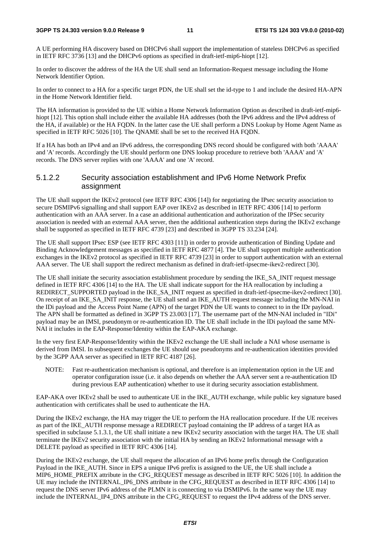#### **3GPP TS 24.303 version 9.0.0 Release 9 11 ETSI TS 124 303 V9.0.0 (2010-02)**

A UE performing HA discovery based on DHCPv6 shall support the implementation of stateless DHCPv6 as specified in IETF RFC 3736 [13] and the DHCPv6 options as specified in draft-ietf-mip6-hiopt [12].

In order to discover the address of the HA the UE shall send an Information-Request message including the Home Network Identifier Option.

In order to connect to a HA for a specific target PDN, the UE shall set the id-type to 1 and include the desired HA-APN in the Home Network Identifier field.

The HA information is provided to the UE within a Home Network Information Option as described in draft-ietf-mip6 hiopt [12]. This option shall include either the available HA addresses (both the IPv6 address and the IPv4 address of the HA, if available) or the HA FQDN. In the latter case the UE shall perform a DNS Lookup by Home Agent Name as specified in IETF RFC 5026 [10]. The QNAME shall be set to the received HA FQDN.

If a HA has both an IPv4 and an IPv6 address, the corresponding DNS record should be configured with both 'AAAA' and 'A' records. Accordingly the UE should perform one DNS lookup procedure to retrieve both 'AAAA' and 'A' records. The DNS server replies with one 'AAAA' and one 'A' record.

#### 5.1.2.2 Security association establishment and IPv6 Home Network Prefix assignment

The UE shall support the IKEv2 protocol (see IETF RFC 4306 [14]) for negotiating the IPsec security association to secure DSMIPv6 signalling and shall support EAP over IKEv2 as described in IETF RFC 4306 [14] to perform authentication with an AAA server. In a case an additional authentication and authorization of the IPSec security association is needed with an external AAA server, then the additional authentication steps during the IKEv2 exchange shall be supported as specified in IETF RFC 4739 [23] and described in 3GPP TS 33.234 [24].

The UE shall support IPsec ESP (see IETF RFC 4303 [11]) in order to provide authentication of Binding Update and Binding Acknowledgement messages as specified in IETF RFC 4877 [4]. The UE shall support multiple authentication exchanges in the IKEv2 protocol as specified in IETF RFC 4739 [23] in order to support authentication with an external AAA server. The UE shall support the redirect mechanism as defined in draft-ietf-ipsecme-ikev2-redirect [30].

The UE shall initiate the security association establishment procedure by sending the IKE\_SA\_INIT request message defined in IETF RFC 4306 [14] to the HA. The UE shall indicate support for the HA reallocation by including a REDIRECT\_SUPPORTED payload in the IKE\_SA\_INIT request as specified in draft-ietf-ipsecme-ikev2-redirect [30]. On receipt of an IKE\_SA\_INIT response, the UE shall send an IKE\_AUTH request message including the MN-NAI in the IDi payload and the Access Point Name (APN) of the target PDN the UE wants to connect to in the IDr payload. The APN shall be formatted as defined in 3GPP TS 23.003 [17]. The username part of the MN-NAI included in "IDi" payload may be an IMSI, pseudonym or re-authentication ID. The UE shall include in the IDi payload the same MN-NAI it includes in the EAP-Response/Identity within the EAP-AKA exchange.

In the very first EAP-Response/Identity within the IKEv2 exchange the UE shall include a NAI whose username is derived from IMSI. In subsequent exchanges the UE should use pseudonyms and re-authentication identities provided by the 3GPP AAA server as specified in IETF RFC 4187 [26].

NOTE: Fast re-authentication mechanism is optional, and therefore is an implementation option in the UE and operator configuration issue (i.e. it also depends on whether the AAA server sent a re-authentication ID during previous EAP authentication) whether to use it during security association establishment.

EAP-AKA over IKEv2 shall be used to authenticate UE in the IKE\_AUTH exchange, while public key signature based authentication with certificates shall be used to authenticate the HA.

During the IKEv2 exchange, the HA may trigger the UE to perform the HA reallocation procedure. If the UE receives as part of the IKE\_AUTH response message a REDIRECT payload containing the IP address of a target HA as specified in subclause 5.1.3.1, the UE shall initiate a new IKEv2 security association with the target HA. The UE shall terminate the IKEv2 security association with the initial HA by sending an IKEv2 Informational message with a DELETE payload as specified in IETF RFC 4306 [14].

During the IKEv2 exchange, the UE shall request the allocation of an IPv6 home prefix through the Configuration Payload in the IKE\_AUTH. Since in EPS a unique IPv6 prefix is assigned to the UE, the UE shall include a MIP6\_HOME\_PREFIX attribute in the CFG\_REQUEST message as described in IETF RFC 5026 [10]. In addition the UE may include the INTERNAL\_IP6\_DNS attribute in the CFG\_REQUEST as described in IETF RFC 4306 [14] to request the DNS server IPv6 address of the PLMN it is connecting to via DSMIPv6. In the same way the UE may include the INTERNAL\_IP4\_DNS attribute in the CFG\_REQUEST to request the IPv4 address of the DNS server.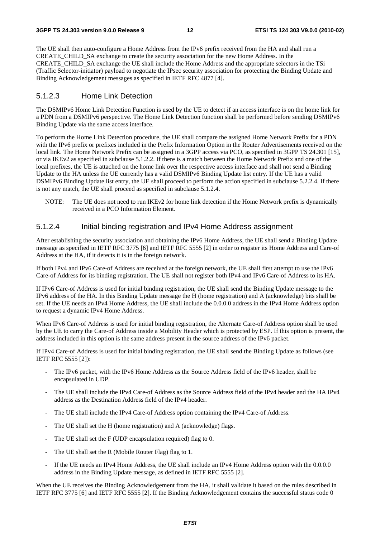The UE shall then auto-configure a Home Address from the IPv6 prefix received from the HA and shall run a CREATE\_CHILD\_SA exchange to create the security association for the new Home Address. In the CREATE\_CHILD\_SA exchange the UE shall include the Home Address and the appropriate selectors in the TSi (Traffic Selector-initiator) payload to negotiate the IPsec security association for protecting the Binding Update and Binding Acknowledgement messages as specified in IETF RFC 4877 [4].

#### 5.1.2.3 Home Link Detection

The DSMIPv6 Home Link Detection Function is used by the UE to detect if an access interface is on the home link for a PDN from a DSMIPv6 perspective. The Home Link Detection function shall be performed before sending DSMIPv6 Binding Update via the same access interface.

To perform the Home Link Detection procedure, the UE shall compare the assigned Home Network Prefix for a PDN with the IPv6 prefix or prefixes included in the Prefix Information Option in the Router Advertisements received on the local link. The Home Network Prefix can be assigned in a 3GPP access via PCO, as specified in 3GPP TS 24.301 [15], or via IKEv2 as specified in subclause 5.1.2.2. If there is a match between the Home Network Prefix and one of the local prefixes, the UE is attached on the home link over the respective access interface and shall not send a Binding Update to the HA unless the UE currently has a valid DSMIPv6 Binding Update list entry. If the UE has a valid DSMIPv6 Binding Update list entry, the UE shall proceed to perform the action specified in subclause 5.2.2.4. If there is not any match, the UE shall proceed as specified in subclause 5.1.2.4.

NOTE: The UE does not need to run IKEv2 for home link detection if the Home Network prefix is dynamically received in a PCO Information Element.

#### 5.1.2.4 Initial binding registration and IPv4 Home Address assignment

After establishing the security association and obtaining the IPv6 Home Address, the UE shall send a Binding Update message as specified in IETF RFC 3775 [6] and IETF RFC 5555 [2] in order to register its Home Address and Care-of Address at the HA, if it detects it is in the foreign network.

If both IPv4 and IPv6 Care-of Address are received at the foreign network, the UE shall first attempt to use the IPv6 Care-of Address for its binding registration. The UE shall not register both IPv4 and IPv6 Care-of Address to its HA.

If IPv6 Care-of Address is used for initial binding registration, the UE shall send the Binding Update message to the IPv6 address of the HA. In this Binding Update message the H (home registration) and A (acknowledge) bits shall be set. If the UE needs an IPv4 Home Address, the UE shall include the 0.0.0.0 address in the IPv4 Home Address option to request a dynamic IPv4 Home Address.

When IPv6 Care-of Address is used for initial binding registration, the Alternate Care-of Address option shall be used by the UE to carry the Care-of Address inside a Mobility Header which is protected by ESP. If this option is present, the address included in this option is the same address present in the source address of the IPv6 packet.

If IPv4 Care-of Address is used for initial binding registration, the UE shall send the Binding Update as follows (see IETF RFC 5555 [2]):

- The IPv6 packet, with the IPv6 Home Address as the Source Address field of the IPv6 header, shall be encapsulated in UDP.
- The UE shall include the IPv4 Care-of Address as the Source Address field of the IPv4 header and the HA IPv4 address as the Destination Address field of the IPv4 header.
- The UE shall include the IPv4 Care-of Address option containing the IPv4 Care-of Address.
- The UE shall set the H (home registration) and A (acknowledge) flags.
- The UE shall set the F (UDP encapsulation required) flag to 0.
- The UE shall set the R (Mobile Router Flag) flag to 1.
- If the UE needs an IPv4 Home Address, the UE shall include an IPv4 Home Address option with the 0.0.0.0 address in the Binding Update message, as defined in IETF RFC 5555 [2].

When the UE receives the Binding Acknowledgement from the HA, it shall validate it based on the rules described in IETF RFC 3775 [6] and IETF RFC 5555 [2]. If the Binding Acknowledgement contains the successful status code 0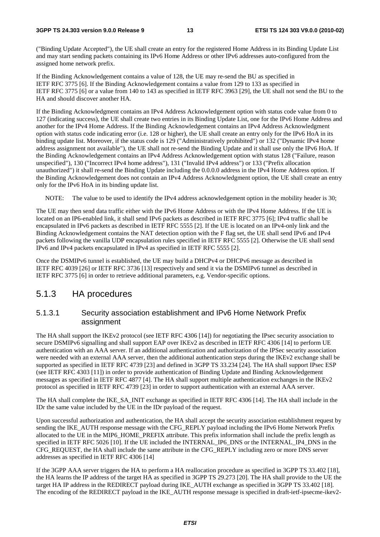("Binding Update Accepted"), the UE shall create an entry for the registered Home Address in its Binding Update List and may start sending packets containing its IPv6 Home Address or other IPv6 addresses auto-configured from the assigned home network prefix.

If the Binding Acknowledgement contains a value of 128, the UE may re-send the BU as specified in IETF RFC 3775 [6]. If the Binding Acknowledgement contains a value from 129 to 133 as specified in IETF RFC 3775 [6] or a value from 140 to 143 as specified in IETF RFC 3963 [29], the UE shall not send the BU to the HA and should discover another HA.

If the Binding Acknowledgment contains an IPv4 Address Acknowledgement option with status code value from 0 to 127 (indicating success), the UE shall create two entries in its Binding Update List, one for the IPv6 Home Address and another for the IPv4 Home Address. If the Binding Acknowledgement contains an IPv4 Address Acknowledgment option with status code indicating error (i.e. 128 or higher), the UE shall create an entry only for the IPv6 HoA in its binding update list. Moreover, if the status code is 129 ("Administratively prohibited") or 132 ("Dynamic IPv4 home address assignment not available"), the UE shall not re-send the Binding Update and it shall use only the IPv6 HoA. If the Binding Acknowledgement contains an IPv4 Address Acknowledgement option with status 128 ("Failure, reason unspecified"), 130 ("Incorrect IPv4 home address"), 131 ("Invalid IPv4 address") or 133 ("Prefix allocation unauthorized") it shall re-send the Binding Update including the 0.0.0.0 address in the IPv4 Home Address option. If the Binding Acknowledgement does not contain an IPv4 Address Acknowledgment option, the UE shall create an entry only for the IPv6 HoA in its binding update list.

NOTE: The value to be used to identify the IPv4 address acknowledgement option in the mobility header is 30;

The UE may then send data traffic either with the IPv6 Home Address or with the IPv4 Home Address. If the UE is located on an IP6-enabled link, it shall send IPv6 packets as described in IETF RFC 3775 [6]; IPv4 traffic shall be encapsulated in IPv6 packets as described in IETF RFC 5555 [2]. If the UE is located on an IPv4-only link and the Binding Acknowledgement contains the NAT detection option with the F flag set, the UE shall send IPv6 and IPv4 packets following the vanilla UDP encapsulation rules specified in IETF RFC 5555 [2]. Otherwise the UE shall send IPv6 and IPv4 packets encapsulated in IPv4 as specified in IETF RFC 5555 [2].

Once the DSMIPv6 tunnel is established, the UE may build a DHCPv4 or DHCPv6 message as described in IETF RFC 4039 [26] or IETF RFC 3736 [13] respectively and send it via the DSMIPv6 tunnel as described in IETF RFC 3775 [6] in order to retrieve additional parameters, e.g. Vendor-specific options.

#### 5.1.3 HA procedures

#### 5.1.3.1 Security association establishment and IPv6 Home Network Prefix assignment

The HA shall support the IKEv2 protocol (see IETF RFC 4306 [14]) for negotiating the IPsec security association to secure DSMIPv6 signalling and shall support EAP over IKEv2 as described in IETF RFC 4306 [14] to perform UE authentication with an AAA server. If an additional authentication and authorization of the IPSec security association were needed with an external AAA server, then the additional authentication steps during the IKEv2 exchange shall be supported as specified in IETF RFC 4739 [23] and defined in 3GPP TS 33.234 [24]. The HA shall support IPsec ESP (see IETF RFC 4303 [11]) in order to provide authentication of Binding Update and Binding Acknowledgement messages as specified in IETF RFC 4877 [4]. The HA shall support multiple authentication exchanges in the IKEv2 protocol as specified in IETF RFC 4739 [23] in order to support authentication with an external AAA server.

The HA shall complete the IKE\_SA\_INIT exchange as specified in IETF RFC 4306 [14]. The HA shall include in the IDr the same value included by the UE in the IDr payload of the request.

Upon successful authorization and authentication, the HA shall accept the security association establishment request by sending the IKE\_AUTH response message with the CFG\_REPLY payload including the IPv6 Home Network Prefix allocated to the UE in the MIP6\_HOME\_PREFIX attribute. This prefix information shall include the prefix length as specified in IETF RFC 5026 [10]. If the UE included the INTERNAL\_IP6\_DNS or the INTERNAL\_IP4\_DNS in the CFG\_REQUEST, the HA shall include the same attribute in the CFG\_REPLY including zero or more DNS server addresses as specified in IETF RFC 4306 [14]

If the 3GPP AAA server triggers the HA to perform a HA reallocation procedure as specified in 3GPP TS 33.402 [18], the HA learns the IP address of the target HA as specified in 3GPP TS 29.273 [20]. The HA shall provide to the UE the target HA IP address in the REDIRECT payload during IKE\_AUTH exchange as specified in 3GPP TS 33.402 [18]. The encoding of the REDIRECT payload in the IKE\_AUTH response message is specified in draft-ietf-ipsecme-ikev2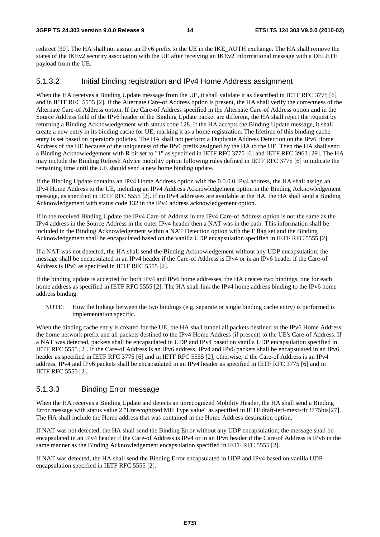redirect [30]. The HA shall not assign an IPv6 prefix to the UE in the IKE\_AUTH exchange. The HA shall remove the states of the IKEv2 security association with the UE after receiving an IKEv2 Informational message with a DELETE payload from the UE.

#### 5.1.3.2 Initial binding registration and IPv4 Home Address assignment

When the HA receives a Binding Update message from the UE, it shall validate it as described in IETF RFC 3775 [6] and in IETF RFC 5555 [2]. If the Alternate Care-of Address option is present, the HA shall verify the correctness of the Alternate Care-of Address option. If the Care-of Address specified in the Alternate Care-of Address option and in the Source Address field of the IPv6 header of the Binding Update packet are different, the HA shall reject the request by returning a Binding Acknowledgement with status code 128. If the HA accepts the Binding Update message, it shall create a new entry in its binding cache for UE, marking it as a home registration. The lifetime of this binding cache entry is set based on operator's policies. The HA shall not perform a Duplicate Address Detection on the IPv6 Home Address of the UE because of the uniqueness of the IPv6 prefix assigned by the HA to the UE. Then the HA shall send a Binding Acknowledgement with R bit set to "1" as specified in IETF RFC 3775 [6] and IETF RFC 3963 [29]. The HA may include the Binding Refresh Advice mobility option following rules defined in IETF RFC 3775 [6] to indicate the remaining time until the UE should send a new home binding update.

If the Binding Update contains an IPv4 Home Address option with the 0.0.0.0 IPv4 address, the HA shall assign an IPv4 Home Address to the UE, including an IPv4 Address Acknowledgement option in the Binding Acknowledgement message, as specified in IETF RFC 5555 [2]. If no IPv4 addresses are available at the HA, the HA shall send a Binding Acknowledgement with status code 132 in the IPv4 address acknowledgement option.

If in the received Binding Update the IPv4 Care-of Address in the IPv4 Care-of Address option is not the same as the IPv4 address in the Source Address in the outer IPv4 header then a NAT was in the path. This information shall be included in the Binding Acknowledgement within a NAT Detection option with the F flag set and the Binding Acknowledgement shall be encapsulated based on the vanilla UDP encapsulation specified in IETF RFC 5555 [2].

If a NAT was not detected, the HA shall send the Binding Acknowledgement without any UDP encapsulation; the message shall be encapsulated in an IPv4 header if the Care-of Address is IPv4 or in an IPv6 header if the Care-of Address is IPv6 as specified in IETF RFC 5555 [2].

If the binding update is accepted for both IPv4 and IPv6 home addresses, the HA creates two bindings, one for each home address as specified in IETF RFC 5555 [2]. The HA shall link the IPv4 home address binding to the IPv6 home address binding.

NOTE: How the linkage between the two bindings (e.g. separate or single binding cache entry) is performed is implementation specific.

When the binding cache entry is created for the UE, the HA shall tunnel all packets destined to the IPv6 Home Address, the home network prefix and all packets destined to the IPv4 Home Address (if present) to the UE's Care-of Address. If a NAT was detected, packets shall be encapsulated in UDP and IPv4 based on vanilla UDP encapsulation specified in IETF RFC 5555 [2]. If the Care-of Address is an IPv6 address, IPv4 and IPv6 packets shall be encapsulated in an IPv6 header as specified in IETF RFC 3775 [6] and in IETF RFC 5555 [2]; otherwise, if the Care-of Address is an IPv4 address, IPv4 and IPv6 packets shall be encapsulated in an IPv4 header as specified in IETF RFC 3775 [6] and in IETF RFC 5555 [2].

#### 5.1.3.3 Binding Error message

When the HA receives a Binding Update and detects an unrecognized Mobility Header, the HA shall send a Binding Error message with status value 2 "Unrecognized MH Type value" as specified in IETF draft-ietf-mext-rfc3775bis[27]. The HA shall include the Home address that was contained in the Home Address destination option.

If NAT was not detected, the HA shall send the Binding Error without any UDP encapsulation; the message shall be encapsulated in an IPv4 header if the Care-of Address is IPv4 or in an IPv6 header if the Care-of Address is IPv6 in the same manner as the Binding Acknowledgement encapsulation specified in IETF RFC 5555 [2].

If NAT was detected, the HA shall send the Binding Error encapsulated in UDP and IPv4 based on vanilla UDP encapsulation specified in IETF RFC 5555 [2].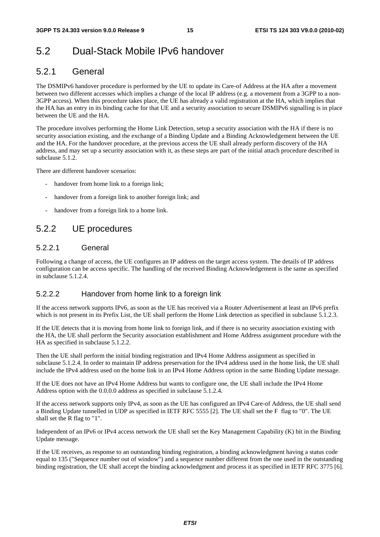### 5.2 Dual-Stack Mobile IPv6 handover

### 5.2.1 General

The DSMIPv6 handover procedure is performed by the UE to update its Care-of Address at the HA after a movement between two different accesses which implies a change of the local IP address (e.g. a movement from a 3GPP to a non-3GPP access). When this procedure takes place, the UE has already a valid registration at the HA, which implies that the HA has an entry in its binding cache for that UE and a security association to secure DSMIPv6 signalling is in place between the UE and the HA.

The procedure involves performing the Home Link Detection, setup a security association with the HA if there is no security association existing, and the exchange of a Binding Update and a Binding Acknowledgement between the UE and the HA. For the handover procedure, at the previous access the UE shall already perform discovery of the HA address, and may set up a security association with it, as these steps are part of the initial attach procedure described in subclause 5.1.2.

There are different handover scenarios:

- handover from home link to a foreign link;
- handover from a foreign link to another foreign link; and
- handover from a foreign link to a home link.

### 5.2.2 UE procedures

#### 5.2.2.1 General

Following a change of access, the UE configures an IP address on the target access system. The details of IP address configuration can be access specific. The handling of the received Binding Acknowledgement is the same as specified in subclause 5.1.2.4.

#### 5.2.2.2 Handover from home link to a foreign link

If the access network supports IPv6, as soon as the UE has received via a Router Advertisement at least an IPv6 prefix which is not present in its Prefix List, the UE shall perform the Home Link detection as specified in subclause 5.1.2.3.

If the UE detects that it is moving from home link to foreign link, and if there is no security association existing with the HA, the UE shall perform the Security association establishment and Home Address assignment procedure with the HA as specified in subclause 5.1.2.2.

Then the UE shall perform the initial binding registration and IPv4 Home Address assignment as specified in subclause 5.1.2.4. In order to maintain IP address preservation for the IPv4 address used in the home link, the UE shall include the IPv4 address used on the home link in an IPv4 Home Address option in the same Binding Update message.

If the UE does not have an IPv4 Home Address but wants to configure one, the UE shall include the IPv4 Home Address option with the 0.0.0.0 address as specified in subclause 5.1.2.4.

If the access network supports only IPv4, as soon as the UE has configured an IPv4 Care-of Address, the UE shall send a Binding Update tunnelled in UDP as specified in IETF RFC 5555 [2]. The UE shall set the F flag to "0". The UE shall set the R flag to "1".

Independent of an IPv6 or IPv4 access network the UE shall set the Key Management Capability (K) bit in the Binding Update message.

If the UE receives, as response to an outstanding binding registration, a binding acknowledgment having a status code equal to 135 ("Sequence number out of window") and a sequence number different from the one used in the outstanding binding registration, the UE shall accept the binding acknowledgment and process it as specified in IETF RFC 3775 [6].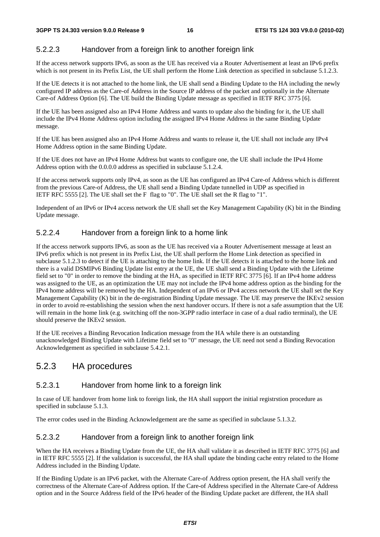#### 5.2.2.3 Handover from a foreign link to another foreign link

If the access network supports IPv6, as soon as the UE has received via a Router Advertisement at least an IPv6 prefix which is not present in its Prefix List, the UE shall perform the Home Link detection as specified in subclause 5.1.2.3.

If the UE detects it is not attached to the home link, the UE shall send a Binding Update to the HA including the newly configured IP address as the Care-of Address in the Source IP address of the packet and optionally in the Alternate Care-of Address Option [6]. The UE build the Binding Update message as specified in IETF RFC 3775 [6].

If the UE has been assigned also an IPv4 Home Address and wants to update also the binding for it, the UE shall include the IPv4 Home Address option including the assigned IPv4 Home Address in the same Binding Update message.

If the UE has been assigned also an IPv4 Home Address and wants to release it, the UE shall not include any IPv4 Home Address option in the same Binding Update.

If the UE does not have an IPv4 Home Address but wants to configure one, the UE shall include the IPv4 Home Address option with the 0.0.0.0 address as specified in subclause 5.1.2.4.

If the access network supports only IPv4, as soon as the UE has configured an IPv4 Care-of Address which is different from the previous Care-of Address, the UE shall send a Binding Update tunnelled in UDP as specified in IETF RFC 5555 [2]. The UE shall set the F flag to "0". The UE shall set the R flag to "1".

Independent of an IPv6 or IPv4 access network the UE shall set the Key Management Capability (K) bit in the Binding Update message.

#### 5.2.2.4 Handover from a foreign link to a home link

If the access network supports IPv6, as soon as the UE has received via a Router Advertisement message at least an IPv6 prefix which is not present in its Prefix List, the UE shall perform the Home Link detection as specified in subclause 5.1.2.3 to detect if the UE is attaching to the home link. If the UE detects it is attached to the home link and there is a valid DSMIPv6 Binding Update list entry at the UE, the UE shall send a Binding Update with the Lifetime field set to "0" in order to remove the binding at the HA, as specified in IETF RFC 3775 [6]. If an IPv4 home address was assigned to the UE, as an optimization the UE may not include the IPv4 home address option as the binding for the IPv4 home address will be removed by the HA. Independent of an IPv6 or IPv4 access network the UE shall set the Key Management Capability (K) bit in the de-registration Binding Update message. The UE may preserve the IKEv2 session in order to avoid re-establishing the session when the next handover occurs. If there is not a safe assumption that the UE will remain in the home link (e.g. switching off the non-3GPP radio interface in case of a dual radio terminal), the UE should preserve the IKEv2 session.

If the UE receives a Binding Revocation Indication message from the HA while there is an outstanding unacknowledged Binding Update with Lifetime field set to "0" message, the UE need not send a Binding Revocation Acknowledgement as specified in subclause 5.4.2.1.

### 5.2.3 HA procedures

#### 5.2.3.1 Handover from home link to a foreign link

In case of UE handover from home link to foreign link, the HA shall support the initial registrstion procedure as specified in subclause 5.1.3.

The error codes used in the Binding Acknowledgement are the same as specified in subclause 5.1.3.2.

#### 5.2.3.2 Handover from a foreign link to another foreign link

When the HA receives a Binding Update from the UE, the HA shall validate it as described in IETF RFC 3775 [6] and in IETF RFC 5555 [2]. If the validation is successful, the HA shall update the binding cache entry related to the Home Address included in the Binding Update.

If the Binding Update is an IPv6 packet, with the Alternate Care-of Address option present, the HA shall verify the correctness of the Alternate Care-of Address option. If the Care-of Address specified in the Alternate Care-of Address option and in the Source Address field of the IPv6 header of the Binding Update packet are different, the HA shall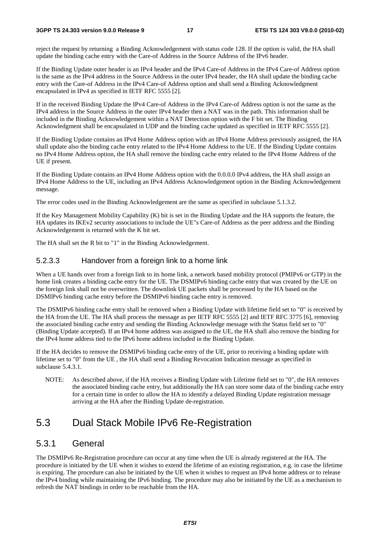#### **3GPP TS 24.303 version 9.0.0 Release 9 17 ETSI TS 124 303 V9.0.0 (2010-02)**

reject the request by returning a Binding Acknowledgement with status code 128. If the option is valid, the HA shall update the binding cache entry with the Care-of Address in the Source Address of the IPv6 header.

If the Binding Update outer header is an IPv4 header and the IPv4 Care-of Address in the IPv4 Care-of Address option is the same as the IPv4 address in the Source Address in the outer IPv4 header, the HA shall update the binding cache entry with the Care-of Address in the IPv4 Care-of Address option and shall send a Binding Acknowledgment encapsulated in IPv4 as specified in IETF RFC 5555 [2].

If in the received Binding Update the IPv4 Care-of Address in the IPv4 Care-of Address option is not the same as the IPv4 address in the Source Address in the outer IPv4 header then a NAT was in the path. This information shall be included in the Binding Acknowledgement within a NAT Detection option with the F bit set. The Binding Acknowledgment shall be encapsulated in UDP and the binding cache updated as specified in IETF RFC 5555 [2].

If the Binding Update contains an IPv4 Home Address option with an IPv4 Home Address previously assigned, the HA shall update also the binding cache entry related to the IPv4 Home Address to the UE. If the Binding Update contains no IPv4 Home Address option, the HA shall remove the binding cache entry related to the IPv4 Home Address of the UE if present.

If the Binding Update contains an IPv4 Home Address option with the 0.0.0.0 IPv4 address, the HA shall assign an IPv4 Home Address to the UE, including an IPv4 Address Acknowledgement option in the Binding Acknowledgement message.

The error codes used in the Binding Acknowledgement are the same as specified in subclause 5.1.3.2.

If the Key Management Mobility Capability (K) bit is set in the Binding Update and the HA supports the feature, the HA updates its IKEv2 security associations to include the UE"s Care-of Address as the peer address and the Binding Acknowledgement is returned with the K bit set.

The HA shall set the R bit to "1" in the Binding Acknowledgement.

### 5.2.3.3 Handover from a foreign link to a home link

When a UE hands over from a foreign link to its home link, a network based mobility protocol (PMIPv6 or GTP) in the home link creates a binding cache entry for the UE. The DSMIPv6 binding cache entry that was created by the UE on the foreign link shall not be overwritten. The downlink UE packets shall be processed by the HA based on the DSMIPv6 binding cache entry before the DSMIPv6 binding cache entry is removed.

The DSMIPv6 binding cache entry shall be removed when a Binding Update with lifetime field set to "0" is received by the HA from the UE. The HA shall process the message as per IETF RFC 5555 [2] and IETF RFC 3775 [6], removing the associated binding cache entry and sending the Binding Acknowledge message with the Status field set to "0" (Binding Update accepted). If an IPv4 home address was assigned to the UE, the HA shall also remove the binding for the IPv4 home address tied to the IPv6 home address included in the Binding Update.

If the HA decides to remove the DSMIPv6 binding cache entry of the UE, prior to receiving a binding update with lifetime set to "0" from the UE , the HA shall send a Binding Revocation Indication message as specified in subclause 5.4.3.1.

NOTE: As described above, if the HA receives a Binding Update with Lifetime field set to "0", the HA removes the associated binding cache entry, but additionally the HA can store some data of the binding cache entry for a certain time in order to allow the HA to identify a delayed Binding Update registration message arriving at the HA after the Binding Update de-registration.

### 5.3 Dual Stack Mobile IPv6 Re-Registration

### 5.3.1 General

The DSMIPv6 Re-Registration procedure can occur at any time when the UE is already registered at the HA. The procedure is initiated by the UE when it wishes to extend the lifetime of an existing registration, e.g. in case the lifetime is expiring. The procedure can also be initiated by the UE when it wishes to request an IPv4 home address or to release the IPv4 binding while maintaining the IPv6 binding. The procedure may also be initiated by the UE as a mechanism to refresh the NAT bindings in order to be reachable from the HA.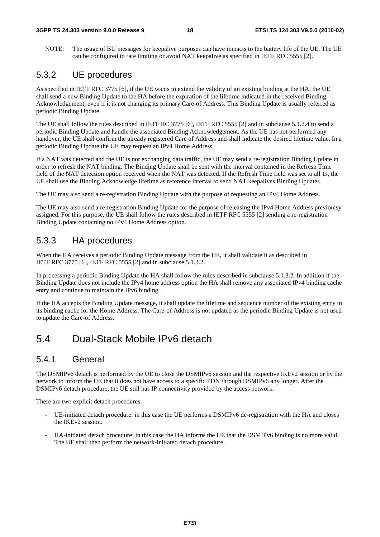NOTE: The usage of BU messages for keepalive purposes can have impacts to the battery life of the UE. The UE can be configured to rate limiting or avoid NAT keepalive as specified in IETF RFC 5555 [2].

### 5.3.2 UE procedures

As specified in IETF RFC 3775 [6], if the UE wants to extend the validity of an existing binding at the HA, the UE shall send a new Binding Update to the HA before the expiration of the lifetime indicated in the received Binding Acknowledgement, even if it is not changing its primary Care-of Address. This Binding Update is usually referred as periodic Binding Update.

The UE shall follow the rules described in IETF RC 3775 [6], IETF RFC 5555 [2] and in subclause 5.1.2.4 to send a periodic Binding Update and handle the associated Binding Acknowledgement. As the UE has not performed any handover, the UE shall confirm the already registered Care of Address and shall indicate the desired lifetime value. In a periodic Binding Update the UE may request an IPv4 Home Address.

If a NAT was detected and the UE is not exchanging data traffic, the UE may send a re-registration Binding Update in order to refresh the NAT binding. The Binding Update shall be sent with the interval contained in the Refresh Time field of the NAT detection option received when the NAT was detected. If the Refresh Time field was set to all 1s, the UE shall use the Binding Acknowledge lifetime as reference interval to send NAT keepalives Binding Updates.

The UE may also send a re-registration Binding Update with the purpose of requesting an IPv4 Home Address.

The UE may also send a re-registration Binding Update for the purpose of releasing the IPv4 Home Address previoulsy assigned. For this purpose, the UE shall follow the rules described in IETF RFC 5555 [2] sending a re-registration Binding Update containing no IPv4 Home Address option.

### 5.3.3 HA procedures

When the HA receives a periodic Binding Update message from the UE, it shall validate it as described in IETF RFC 3775 [6], IETF RFC 5555 [2] and in subclause 5.1.3.2.

In processing a periodic Binding Update the HA shall follow the rules described in subclause 5.1.3.2. In addition if the Binding Update does not include the IPv4 home address option the HA shall remove any associated IPv4 binding cache entry and continue to maintain the IPv6 binding.

If the HA accepts the Binding Update message, it shall update the lifetime and sequence number of the existing entry in its binding cache for the Home Address. The Care-of Address is not updated as the periodic Binding Update is not used to update the Care-of Address.

### 5.4 Dual-Stack Mobile IPv6 detach

### 5.4.1 General

The DSMIPv6 detach is performed by the UE to close the DSMIPv6 session and the respective IKEv2 session or by the network to inform the UE that it does not have access to a specific PDN through DSMIPv6 any longer. After the DSMIPv6 detach procedure, the UE still has IP connectivity provided by the access network.

There are two explicit detach procedures:

- UE-initiated detach procedure: in this case the UE performs a DSMIPv6 de-registration with the HA and closes the IKEv2 session.
- HA-initiated detach procedure: in this case the HA informs the UE that the DSMIPv6 binding is no more valid. The UE shall then perform the network-initiated detach procedure.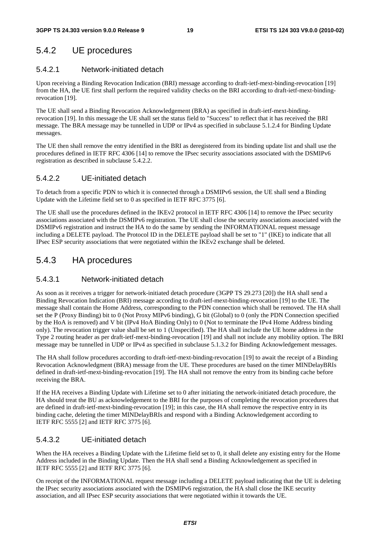### 5.4.2 UE procedures

#### 5.4.2.1 Network-initiated detach

Upon receiving a Binding Revocation Indication (BRI) message according to draft-ietf-mext-binding-revocation [19] from the HA, the UE first shall perform the required validity checks on the BRI according to draft-ietf-mext-bindingrevocation [19].

The UE shall send a Binding Revocation Acknowledgement (BRA) as specified in draft-ietf-mext-bindingrevocation [19]. In this message the UE shall set the status field to "Success" to reflect that it has received the BRI message. The BRA message may be tunnelled in UDP or IPv4 as specified in subclause 5.1.2.4 for Binding Update messages.

The UE then shall remove the entry identified in the BRI as deregistered from its binding update list and shall use the procedures defined in IETF RFC 4306 [14] to remove the IPsec security associations associated with the DSMIPv6 registration as described in subclause 5.4.2.2.

#### 5.4.2.2 UE-initiated detach

To detach from a specific PDN to which it is connected through a DSMIPv6 session, the UE shall send a Binding Update with the Lifetime field set to 0 as specified in IETF RFC 3775 [6].

The UE shall use the procedures defined in the IKEv2 protocol in IETF RFC 4306 [14] to remove the IPsec security associations associated with the DSMIPv6 registration. The UE shall close the security associations associated with the DSMIPv6 registration and instruct the HA to do the same by sending the INFORMATIONAL request message including a DELETE payload. The Protocol ID in the DELETE payload shall be set to "1" (IKE) to indicate that all IPsec ESP security associations that were negotiated within the IKEv2 exchange shall be deleted.

### 5.4.3 HA procedures

#### 5.4.3.1 Network-initiated detach

As soon as it receives a trigger for network-initiated detach procedure (3GPP TS 29.273 [20]) the HA shall send a Binding Revocation Indication (BRI) message according to draft-ietf-mext-binding-revocation [19] to the UE. The message shall contain the Home Address, corresponding to the PDN connection which shall be removed. The HA shall set the P (Proxy Binding) bit to 0 (Not Proxy MIPv6 binding), G bit (Global) to 0 (only the PDN Connection specified by the HoA is removed) and V bit (IPv4 HoA Binding Only) to 0 (Not to terminate the IPv4 Home Address binding only). The revocation trigger value shall be set to 1 (Unspecified). The HA shall include the UE home address in the Type 2 routing header as per draft-ietf-mext-binding-revocation [19] and shall not include any mobility option. The BRI message may be tunnelled in UDP or IPv4 as specified in subclause 5.1.3.2 for Binding Acknowledgement messages.

The HA shall follow procedures according to draft-ietf-mext-binding-revocation [19] to await the receipt of a Binding Revocation Acknowledgment (BRA) message from the UE. These procedures are based on the timer MINDelayBRIs defined in draft-ietf-mext-binding-revocation [19]. The HA shall not remove the entry from its binding cache before receiving the BRA.

If the HA receives a Binding Update with Lifetime set to 0 after initiating the network-initiated detach procedure, the HA should treat the BU as acknowledgement to the BRI for the purposes of completing the revocation procedures that are defined in draft-ietf-mext-binding-revocation [19]; in this case, the HA shall remove the respective entry in its binding cache, deleting the timer MINDelayBRIs and respond with a Binding Acknowledgement according to IETF RFC 5555 [2] and IETF RFC 3775 [6].

#### 5.4.3.2 UE-initiated detach

When the HA receives a Binding Update with the Lifetime field set to 0, it shall delete any existing entry for the Home Address included in the Binding Update. Then the HA shall send a Binding Acknowledgement as specified in IETF RFC 5555 [2] and IETF RFC 3775 [6].

On receipt of the INFORMATIONAL request message including a DELETE payload indicating that the UE is deleting the IPsec security associations associated with the DSMIPv6 registration, the HA shall close the IKE security association, and all IPsec ESP security associations that were negotiated within it towards the UE.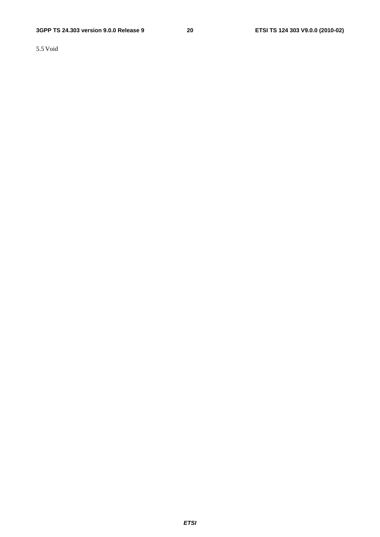5.5 Void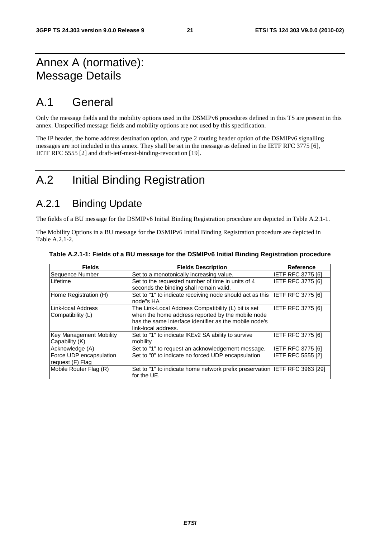### Annex A (normative): Message Details

### A.1 General

Only the message fields and the mobility options used in the DSMIPv6 procedures defined in this TS are present in this annex. Unspecified message fields and mobility options are not used by this specification.

The IP header, the home address destination option, and type 2 routing header option of the DSMIPv6 signalling messages are not included in this annex. They shall be set in the message as defined in the IETF RFC 3775 [6], IETF RFC 5555 [2] and draft-ietf-mext-binding-revocation [19].

### A.2 Initial Binding Registration

### A.2.1 Binding Update

The fields of a BU message for the DSMIPv6 Initial Binding Registration procedure are depicted in Table A.2.1-1.

The Mobility Options in a BU message for the DSMIPv6 Initial Binding Registration procedure are depicted in Table A.2.1-2.

| <b>Fields</b>                               | <b>Fields Description</b>                                                                                                                                                                 | <b>Reference</b>         |
|---------------------------------------------|-------------------------------------------------------------------------------------------------------------------------------------------------------------------------------------------|--------------------------|
| Sequence Number                             | Set to a monotonically increasing value.                                                                                                                                                  | <b>IETF RFC 3775 [6]</b> |
| Lifetime                                    | Set to the requested number of time in units of 4<br>seconds the binding shall remain valid.                                                                                              | <b>IETF RFC 3775 [6]</b> |
| Home Registration (H)                       | Set to "1" to indicate receiving node should act as this<br>node"s HA                                                                                                                     | IETF RFC 3775 [6]        |
| Link-local Address<br>Compatibility (L)     | The Link-Local Address Compatibility (L) bit is set<br>when the home address reported by the mobile node<br>has the same interface identifier as the mobile node's<br>link-local address. | IETF RFC 3775 [6]        |
| Key Management Mobility<br>Capability (K)   | Set to "1" to indicate IKEv2 SA ability to survive<br>mobility                                                                                                                            | <b>IETF RFC 3775 [6]</b> |
| Acknowledge (A)                             | Set to "1" to request an acknowledgement message.                                                                                                                                         | <b>IETF RFC 3775 [6]</b> |
| Force UDP encapsulation<br>request (F) Flag | Set to "0" to indicate no forced UDP encapsulation                                                                                                                                        | <b>IETF RFC 5555 [2]</b> |
| Mobile Router Flag (R)                      | Set to "1" to indicate home network prefix preservation IIETF RFC 3963 [29]<br>for the UE.                                                                                                |                          |

#### **Table A.2.1-1: Fields of a BU message for the DSMIPv6 Initial Binding Registration procedure**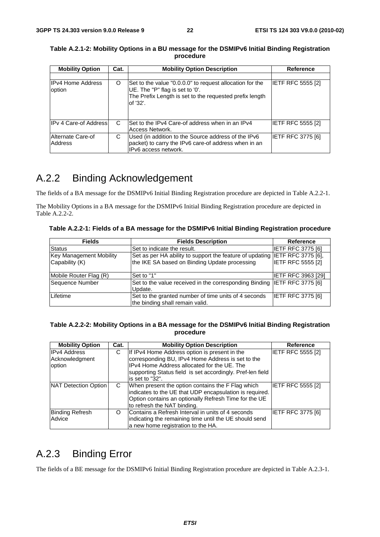| <b>Mobility Option</b>             | Cat. | <b>Mobility Option Description</b>                                                                                                                                 | <b>Reference</b>         |
|------------------------------------|------|--------------------------------------------------------------------------------------------------------------------------------------------------------------------|--------------------------|
| <b>IPv4 Home Address</b><br>option | O    | Set to the value "0.0.0.0" to request allocation for the<br>UE. The "P" flag is set to '0'.<br>The Prefix Length is set to the requested prefix length<br>of '32'. | <b>IETF RFC 5555 [2]</b> |
| IPv 4 Care-of Address              | C    | Set to the IPv4 Care-of address when in an IPv4<br>Access Network.                                                                                                 | IETF RFC 5555 [2]        |
| Alternate Care-of<br>Address       | С    | Used (in addition to the Source address of the IPv6<br>packet) to carry the IPv6 care-of address when in an<br>IPv6 access network.                                | <b>IETF RFC 3775 [6]</b> |

**Table A.2.1-2: Mobility Options in a BU message for the DSMIPv6 Initial Binding Registration procedure** 

### A.2.2 Binding Acknowledgement

The fields of a BA message for the DSMIPv6 Initial Binding Registration procedure are depicted in Table A.2.2-1.

The Mobility Options in a BA message for the DSMIPv6 Initial Binding Registration procedure are depicted in Table A.2.2-2.

**Table A.2.2-1: Fields of a BA message for the DSMIPv6 Initial Binding Registration procedure** 

| <b>Fields</b>                                    | <b>Fields Description</b>                                                                                                    | Reference                 |
|--------------------------------------------------|------------------------------------------------------------------------------------------------------------------------------|---------------------------|
| <b>Status</b>                                    | Set to indicate the result.                                                                                                  | <b>IETF RFC 3775 [6]</b>  |
| <b>Key Management Mobility</b><br>Capability (K) | Set as per HA ability to support the feature of updating IETF RFC 3775 [6],<br>the IKE SA based on Binding Update processing | <b>IETF RFC 5555 [2]</b>  |
| Mobile Router Flag (R)                           | Set to "1"                                                                                                                   | <b>IETF RFC 3963 [29]</b> |
| Sequence Number                                  | Set to the value received in the corresponding Binding IETF RFC 3775 [6]<br>Update.                                          |                           |
| Lifetime                                         | Set to the granted number of time units of 4 seconds<br>the binding shall remain valid.                                      | <b>IETF RFC 3775 [6]</b>  |

#### **Table A.2.2-2: Mobility Options in a BA message for the DSMIPv6 Initial Binding Registration procedure**

| <b>Mobility Option</b>                          | Cat. | <b>Mobility Option Description</b>                                                                                                                                                                                                  | Reference                |
|-------------------------------------------------|------|-------------------------------------------------------------------------------------------------------------------------------------------------------------------------------------------------------------------------------------|--------------------------|
| <b>IPv4 Address</b><br>Acknowledgment<br>option | С    | If IPv4 Home Address option is present in the<br>corresponding BU, IPv4 Home Address is set to the<br>IPv4 Home Address allocated for the UE. The<br>supporting Status field is set accordingly. Pref-len field<br>lis set to "32". | <b>IETF RFC 5555 [2]</b> |
| NAT Detection Option                            | C.   | When present the option contains the F Flag which<br>indicates to the UE that UDP encapsulation is required.<br>Option contains an optionally Refresh Time for the UE<br>to refresh the NAT binding.                                | <b>IETF RFC 5555 [2]</b> |
| <b>Binding Refresh</b><br>Advice                | O    | Contains a Refresh Interval in units of 4 seconds<br>indicating the remaining time until the UE should send<br>a new home registration to the HA.                                                                                   | <b>IETF RFC 3775 [6]</b> |

### A.2.3 Binding Error

The fields of a BE message for the DSMIPv6 Initial Binding Registration procedure are depicted in Table A.2.3-1.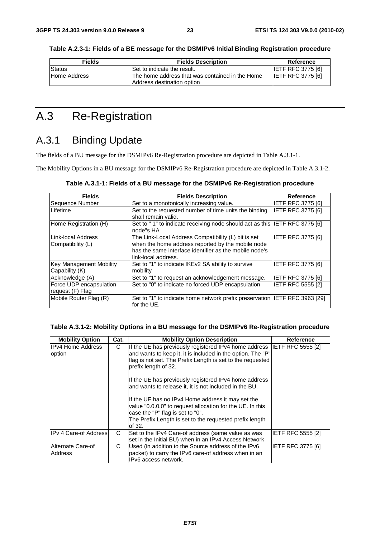| <b>Fields</b> | <b>Fields Description</b>                        | Reference                |
|---------------|--------------------------------------------------|--------------------------|
| Status        | Set to indicate the result.                      | <b>IETF RFC 3775 [6]</b> |
| Home Address  | IThe home address that was contained in the Home | <b>IETF RFC 3775 [6]</b> |

**Table A.2.3-1: Fields of a BE message for the DSMIPv6 Initial Binding Registration procedure** 

### A.3 Re-Registration

### A.3.1 Binding Update

The fields of a BU message for the DSMIPv6 Re-Registration procedure are depicted in Table A.3.1-1.

Address destination option

The Mobility Options in a BU message for the DSMIPv6 Re-Registration procedure are depicted in Table A.3.1-2.

| <b>Fields</b>                                    | <b>Fields Description</b>                                                                                                                                                                 | Reference                |
|--------------------------------------------------|-------------------------------------------------------------------------------------------------------------------------------------------------------------------------------------------|--------------------------|
| Sequence Number                                  | Set to a monotonically increasing value.                                                                                                                                                  | <b>IETF RFC 3775 [6]</b> |
| Lifetime                                         | Set to the requested number of time units the binding<br>shall remain valid.                                                                                                              | <b>IETF RFC 3775 [6]</b> |
| Home Registration (H)                            | Set to "1" to indicate receiving node should act as this  IETF RFC 3775 [6]<br>node"s HA                                                                                                  |                          |
| LLink-local Address<br>Compatibility (L)         | The Link-Local Address Compatibility (L) bit is set<br>when the home address reported by the mobile node<br>has the same interface identifier as the mobile node's<br>link-local address. | <b>IETF RFC 3775 [6]</b> |
| <b>Key Management Mobility</b><br>Capability (K) | Set to "1" to indicate IKEv2 SA ability to survive<br>mobility                                                                                                                            | <b>IETF RFC 3775 [6]</b> |
| Acknowledge (A)                                  | Set to "1" to request an acknowledgement message.                                                                                                                                         | <b>IETF RFC 3775 [6]</b> |
| Force UDP encapsulation<br>request (F) Flag      | Set to "0" to indicate no forced UDP encapsulation                                                                                                                                        | <b>IETF RFC 5555 [2]</b> |
| Mobile Router Flag (R)                           | Set to "1" to indicate home network prefix preservation  IETF RFC 3963 [29]<br>for the UE.                                                                                                |                          |

#### **Table A.3.1-2: Mobility Options in a BU message for the DSMIPv6 Re-Registration procedure**

| <b>Mobility Option</b>              | Cat. | <b>Mobility Option Description</b>                                                                                                                                                                                                                                                                                                              | Reference                |
|-------------------------------------|------|-------------------------------------------------------------------------------------------------------------------------------------------------------------------------------------------------------------------------------------------------------------------------------------------------------------------------------------------------|--------------------------|
| <b>IIPv4 Home Address</b><br>option | C    | If the UE has previously registered IPv4 home address IETF RFC 5555 [2]<br>and wants to keep it, it is included in the option. The "P"<br>flag is not set. The Prefix Length is set to the requested<br>prefix length of 32.<br>If the UE has previously registered IPv4 home address<br>and wants to release it, it is not included in the BU. |                          |
|                                     |      | If the UE has no IPv4 Home address it may set the<br>value "0.0.0.0" to request allocation for the UE. In this<br>case the "P" flag is set to "0".<br>The Prefix Length is set to the requested prefix length<br>of 32.                                                                                                                         |                          |
| <b>IPv 4 Care-of Address</b>        | C    | Set to the IPv4 Care-of address (same value as was<br>set in the Initial BU) when in an IPv4 Access Network                                                                                                                                                                                                                                     | <b>IETF RFC 5555 [2]</b> |
| Alternate Care-of<br>Address        | C    | Used (in addition to the Source address of the IPv6<br>packet) to carry the IPv6 care-of address when in an<br>IPv6 access network.                                                                                                                                                                                                             | IETF RFC 3775 [6]        |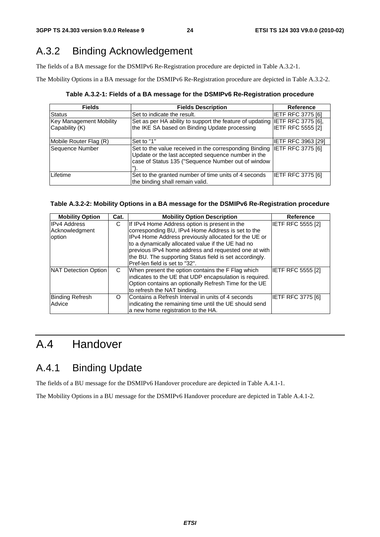### A.3.2 Binding Acknowledgement

The fields of a BA message for the DSMIPv6 Re-Registration procedure are depicted in Table A.3.2-1.

The Mobility Options in a BA message for the DSMIPv6 Re-Registration procedure are depicted in Table A.3.2-2.

**Table A.3.2-1: Fields of a BA message for the DSMIPv6 Re-Registration procedure** 

| <b>Fields</b>                                    | <b>Fields Description</b>                                                                                                                                                            | <b>Reference</b>         |
|--------------------------------------------------|--------------------------------------------------------------------------------------------------------------------------------------------------------------------------------------|--------------------------|
| <b>Status</b>                                    | Set to indicate the result.                                                                                                                                                          | <b>IETF RFC 3775 [6]</b> |
| <b>Key Management Mobility</b><br>Capability (K) | Set as per HA ability to support the feature of updating IETF RFC 3775 [6],<br>the IKE SA based on Binding Update processing                                                         | <b>IETF RFC 5555 [2]</b> |
| Mobile Router Flag (R)                           | Set to "1"                                                                                                                                                                           | IETF RFC 3963 [29]       |
| Sequence Number                                  | Set to the value received in the corresponding Binding IETF RFC 3775 [6]<br>Update or the last accepted sequence number in the<br>case of Status 135 ("Sequence Number out of window |                          |
| Lifetime                                         | Set to the granted number of time units of 4 seconds<br>the binding shall remain valid.                                                                                              | IETF RFC 3775 [6]        |

#### **Table A.3.2-2: Mobility Options in a BA message for the DSMIPv6 Re-Registration procedure**

| <b>Mobility Option</b> | Cat. | <b>Mobility Option Description</b>                      | <b>Reference</b>         |
|------------------------|------|---------------------------------------------------------|--------------------------|
| <b>IPv4 Address</b>    | С    | If IPv4 Home Address option is present in the           | IETF RFC 5555 [2]        |
| Acknowledgment         |      | corresponding BU, IPv4 Home Address is set to the       |                          |
| option                 |      | IPv4 Home Address previously allocated for the UE or    |                          |
|                        |      | to a dynamically allocated value if the UE had no       |                          |
|                        |      | previous IPv4 home address and requested one at with    |                          |
|                        |      | the BU. The supporting Status field is set accordingly. |                          |
|                        |      | Pref-len field is set to "32".                          |                          |
| NAT Detection Option   | C    | When present the option contains the F Flag which       | <b>IETF RFC 5555 [2]</b> |
|                        |      | indicates to the UE that UDP encapsulation is required. |                          |
|                        |      | Option contains an optionally Refresh Time for the UE   |                          |
|                        |      | to refresh the NAT binding.                             |                          |
| <b>Binding Refresh</b> | O    | Contains a Refresh Interval in units of 4 seconds       | <b>IETF RFC 3775 [6]</b> |
| Advice                 |      | indicating the remaining time until the UE should send  |                          |
|                        |      | a new home registration to the HA.                      |                          |

### A.4 Handover

### A.4.1 Binding Update

The fields of a BU message for the DSMIPv6 Handover procedure are depicted in Table A.4.1-1.

The Mobility Options in a BU message for the DSMIPv6 Handover procedure are depicted in Table A.4.1-2.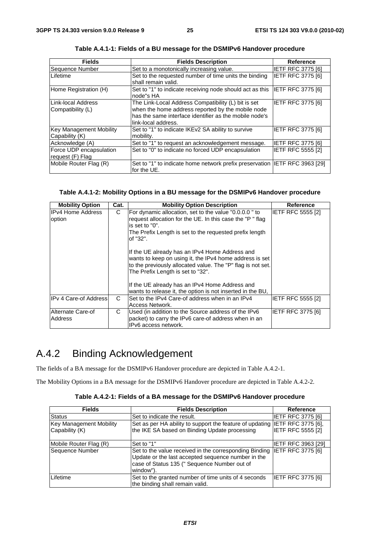| <b>Fields</b>                                    | <b>Fields Description</b>                                                                                                                                                                 | <b>Reference</b>         |
|--------------------------------------------------|-------------------------------------------------------------------------------------------------------------------------------------------------------------------------------------------|--------------------------|
| Sequence Number                                  | Set to a monotonically increasing value.                                                                                                                                                  | <b>IETF RFC 3775 [6]</b> |
| Lifetime                                         | Set to the requested number of time units the binding<br>shall remain valid.                                                                                                              | <b>IETF RFC 3775 [6]</b> |
| Home Registration (H)                            | Set to "1" to indicate receiving node should act as this  IETF RFC 3775 [6]<br>node"s HA                                                                                                  |                          |
| Link-local Address<br>Compatibility (L)          | The Link-Local Address Compatibility (L) bit is set<br>when the home address reported by the mobile node<br>has the same interface identifier as the mobile node's<br>link-local address. | <b>IETF RFC 3775 [6]</b> |
| <b>Key Management Mobility</b><br>Capability (K) | Set to "1" to indicate IKEv2 SA ability to survive<br>mobility.                                                                                                                           | IETF RFC 3775 [6]        |
| Acknowledge (A)                                  | Set to "1" to request an acknowledgement message.                                                                                                                                         | <b>IETF RFC 3775 [6]</b> |
| Force UDP encapsulation<br>request (F) Flag      | Set to "0" to indicate no forced UDP encapsulation                                                                                                                                        | <b>IETF RFC 5555 [2]</b> |
| Mobile Router Flag (R)                           | Set to "1" to indicate home network prefix preservation IETF RFC 3963 [29]<br>for the UE.                                                                                                 |                          |

**Table A.4.1-1: Fields of a BU message for the DSMIPv6 Handover procedure** 

#### **Table A.4.1-2: Mobility Options in a BU message for the DSMIPv6 Handover procedure**

| <b>Mobility Option</b>                                                                                                                                                                                                                                    | Cat. | <b>Mobility Option Description</b>                                                                                                                                                                                                                              | <b>Reference</b>  |
|-----------------------------------------------------------------------------------------------------------------------------------------------------------------------------------------------------------------------------------------------------------|------|-----------------------------------------------------------------------------------------------------------------------------------------------------------------------------------------------------------------------------------------------------------------|-------------------|
| <b>IPv4 Home Address</b><br>C<br>For dynamic allocation, set to the value "0.0.0.0" to<br>request allocation for the UE. In this case the "P" flag<br>option<br>is set to $"0"$ .<br>The Prefix Length is set to the requested prefix length<br>lof "32". |      | <b>IETF RFC 5555 [2]</b>                                                                                                                                                                                                                                        |                   |
|                                                                                                                                                                                                                                                           |      | If the UE already has an IPv4 Home Address and<br>wants to keep on using it, the IPv4 home address is set<br>to the previously allocated value. The "P" flag is not set.<br>The Prefix Length is set to "32".<br>If the UE already has an IPv4 Home Address and |                   |
|                                                                                                                                                                                                                                                           |      | wants to release it, the option is not inserted in the BU,                                                                                                                                                                                                      |                   |
| IPv 4 Care-of Address                                                                                                                                                                                                                                     | C    | Set to the IPv4 Care-of address when in an IPv4<br>Access Network.                                                                                                                                                                                              | IETF RFC 5555 [2] |
| Alternate Care-of<br><b>Address</b>                                                                                                                                                                                                                       | С    | Used (in addition to the Source address of the IPv6<br>packet) to carry the IPv6 care-of address when in an<br>IPv6 access network.                                                                                                                             | IETF RFC 3775 [6] |

### A.4.2 Binding Acknowledgement

The fields of a BA message for the DSMIPv6 Handover procedure are depicted in Table A.4.2-1.

The Mobility Options in a BA message for the DSMIPv6 Handover procedure are depicted in Table A.4.2-2.

|  | Table A.4.2-1: Fields of a BA message for the DSMIPv6 Handover procedure |
|--|--------------------------------------------------------------------------|
|--|--------------------------------------------------------------------------|

| <b>Fields</b>           | <b>Fields Description</b>                                                                                                                                                 | <b>Reference</b>          |
|-------------------------|---------------------------------------------------------------------------------------------------------------------------------------------------------------------------|---------------------------|
| <b>Status</b>           | Set to indicate the result.                                                                                                                                               | <b>IETF RFC 3775 [6]</b>  |
| Key Management Mobility | Set as per HA ability to support the feature of updating IETF RFC 3775 [6],                                                                                               |                           |
| Capability (K)          | the IKE SA based on Binding Update processing                                                                                                                             | <b>IETF RFC 5555 [2]</b>  |
| Mobile Router Flag (R)  | 'Set to "1"                                                                                                                                                               | <b>IETF RFC 3963 [29]</b> |
| Sequence Number         | Set to the value received in the corresponding Binding<br>Update or the last accepted sequence number in the<br>case of Status 135 (" Sequence Number out of<br>window"). | <b>IETF RFC 3775 [6]</b>  |
| Lifetime                | Set to the granted number of time units of 4 seconds<br>the binding shall remain valid.                                                                                   | IETF RFC 3775 [6]         |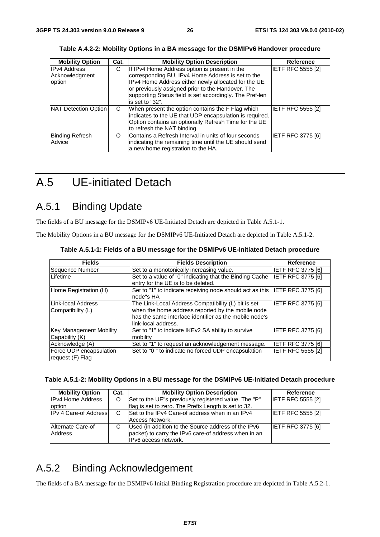| <b>Mobility Option</b> | Cat. | <b>Mobility Option Description</b>                       | Reference                |
|------------------------|------|----------------------------------------------------------|--------------------------|
| <b>IPv4 Address</b>    | С    | If IPv4 Home Address option is present in the            | <b>IETF RFC 5555 [2]</b> |
| Acknowledgment         |      | corresponding BU, IPv4 Home Address is set to the        |                          |
| option                 |      | IPv4 Home Address either newly allocated for the UE      |                          |
|                        |      | or previously assigned prior to the Handover. The        |                          |
|                        |      | supporting Status field is set accordingly. The Pref-len |                          |
|                        |      | is set to "32".                                          |                          |
| NAT Detection Option   | C    | When present the option contains the F Flag which        | <b>IETF RFC 5555 [2]</b> |
|                        |      | indicates to the UE that UDP encapsulation is required.  |                          |
|                        |      | Option contains an optionally Refresh Time for the UE    |                          |
|                        |      | to refresh the NAT binding.                              |                          |
| <b>Binding Refresh</b> | O    | Contains a Refresh Interval in units of four seconds     | <b>IETF RFC 3775 [6]</b> |
| Advice                 |      | indicating the remaining time until the UE should send   |                          |
|                        |      | a new home registration to the HA.                       |                          |

**Table A.4.2-2: Mobility Options in a BA message for the DSMIPv6 Handover procedure** 

### A.5 UE-initiated Detach

### A.5.1 Binding Update

The fields of a BU message for the DSMIPv6 UE-Initiated Detach are depicted in Table A.5.1-1.

The Mobility Options in a BU message for the DSMIPv6 UE-Initiated Detach are depicted in Table A.5.1-2.

| <b>Fields</b>                                    | <b>Fields Description</b>                                                                                                                                                                 | <b>Reference</b>         |
|--------------------------------------------------|-------------------------------------------------------------------------------------------------------------------------------------------------------------------------------------------|--------------------------|
| Sequence Number                                  | Set to a monotonically increasing value.                                                                                                                                                  | <b>IETF RFC 3775 [6]</b> |
| Lifetime                                         | Set to a value of "0" indicating that the Binding Cache<br>entry for the UE is to be deleted.                                                                                             | <b>IETF RFC 3775 [6]</b> |
| Home Registration (H)                            | Set to "1" to indicate receiving node should act as this IETF RFC 3775 [6]<br>node"s HA                                                                                                   |                          |
| Link-local Address<br>Compatibility (L)          | The Link-Local Address Compatibility (L) bit is set<br>when the home address reported by the mobile node<br>has the same interface identifier as the mobile node's<br>link-local address. | <b>IETF RFC 3775 [6]</b> |
| <b>Key Management Mobility</b><br>Capability (K) | Set to "1" to indicate IKEv2 SA ability to survive<br>mobility                                                                                                                            | <b>IETF RFC 3775 [6]</b> |
| Acknowledge (A)                                  | Set to "1" to request an acknowledgement message.                                                                                                                                         | <b>IETF RFC 3775 [6]</b> |
| Force UDP encapsulation<br>request (F) Flag      | Set to "0" to indicate no forced UDP encapsulation                                                                                                                                        | <b>IETF RFC 5555 [2]</b> |

**Table A.5.1-1: Fields of a BU message for the DSMIPv6 UE-Initiated Detach procedure** 

|  |  | Table A.5.1-2: Mobility Options in a BU message for the DSMIPv6 UE-Initiated Detach procedure |
|--|--|-----------------------------------------------------------------------------------------------|
|  |  |                                                                                               |

| <b>Mobility Option</b>       | Cat. | <b>Mobility Option Description</b>                   | Reference                |
|------------------------------|------|------------------------------------------------------|--------------------------|
| <b>IPv4 Home Address</b>     | O    | Set to the UE"s previously registered value. The "P" | <b>IETF RFC 5555 [2]</b> |
| option                       |      | flag is set to zero. The Prefix Length is set to 32. |                          |
| <b>IPv 4 Care-of Address</b> | C    | Set to the IPv4 Care-of address when in an IPv4      | <b>IETF RFC 5555 [2]</b> |
|                              |      | Access Network.                                      |                          |
| Alternate Care-of            |      | Used (in addition to the Source address of the IPv6  | <b>IETF RFC 3775 [6]</b> |
| Address                      |      | packet) to carry the IPv6 care-of address when in an |                          |
|                              |      | IPv6 access network.                                 |                          |

### A.5.2 Binding Acknowledgement

The fields of a BA message for the DSMIPv6 Initial Binding Registration procedure are depicted in Table A.5.2-1.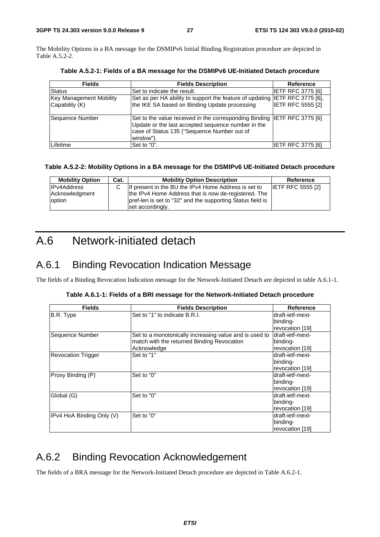The Mobility Options in a BA message for the DSMIPv6 Initial Binding Registration procedure are depicted in Table A.5.2-2.

| <b>Fields</b>                                    | <b>Fields Description</b>                                                                                                                                                                   | <b>Reference</b>         |
|--------------------------------------------------|---------------------------------------------------------------------------------------------------------------------------------------------------------------------------------------------|--------------------------|
| <b>Status</b>                                    | Set to indicate the result.                                                                                                                                                                 | <b>IETF RFC 3775 [6]</b> |
| <b>Key Management Mobility</b><br>Capability (K) | Set as per HA ability to support the feature of updating IETF RFC 3775 [6],<br>the IKE SA based on Binding Update processing                                                                | <b>IETF RFC 5555 [2]</b> |
| Sequence Number                                  | Set to the value received in the corresponding Binding IIETF RFC 3775 [6]<br>Update or the last accepted sequence number in the<br>case of Status 135 ("Sequence Number out of<br>window"). |                          |
| Lifetime                                         | Set to "0".                                                                                                                                                                                 | IETF RFC 3775 [6]        |

**Table A.5.2-1: Fields of a BA message for the DSMIPv6 UE-Initiated Detach procedure** 

#### **Table A.5.2-2: Mobility Options in a BA message for the DSMIPv6 UE-Initiated Detach procedure**

| <b>Mobility Option</b> | Cat. | <b>Mobility Option Description</b>                                             | Reference                |
|------------------------|------|--------------------------------------------------------------------------------|--------------------------|
| <b>IPv4Address</b>     |      | If present in the BU the IPv4 Home Address is set to                           | <b>IETF RFC 5555 [2]</b> |
| Acknowledgment         |      | the IPv4 Home Address that is now de-registered. The                           |                          |
| option                 |      | pref-len is set to "32" and the supporting Status field is<br>set accordingly. |                          |

### A.6 Network-initiated detach

### A.6.1 Binding Revocation Indication Message

The fields of a Binding Revocation Indication message for the Network-Initiated Detach are depicted in table A.6.1-1.

|  | Table A.6.1-1: Fields of a BRI message for the Network-Initiated Detach procedure |  |
|--|-----------------------------------------------------------------------------------|--|
|  |                                                                                   |  |

| <b>Fields</b>             | <b>Fields Description</b>                              | <b>Reference</b> |
|---------------------------|--------------------------------------------------------|------------------|
| B.R. Type                 | Set to "1" to indicate B.R.I.                          | draft-ietf-mext- |
|                           |                                                        | binding-         |
|                           |                                                        | revocation [19]  |
| Sequence Number           | Set to a monotonically increasing value and is used to | draft-ietf-mext- |
|                           | match with the returned Binding Revocation             | binding-         |
|                           | Acknowledge                                            | revocation [19]  |
| <b>Revocation Trigger</b> | Set to "1"                                             | draft-ietf-mext- |
|                           |                                                        | binding-         |
|                           |                                                        | revocation [19]  |
| Proxy Binding (P)         | Set to "0"                                             | draft-ietf-mext- |
|                           |                                                        | binding-         |
|                           |                                                        | revocation [19]  |
| Global (G)                | Set to "0"                                             | draft-ietf-mext- |
|                           |                                                        | binding-         |
|                           |                                                        | revocation [19]  |
| IPv4 HoA Binding Only (V) | Set to "0"                                             | draft-ietf-mext- |
|                           |                                                        | binding-         |
|                           |                                                        | revocation [19]  |

### A.6.2 Binding Revocation Acknowledgement

The fields of a BRA message for the Network-Initiated Detach procedure are depicted in Table A.6.2-1.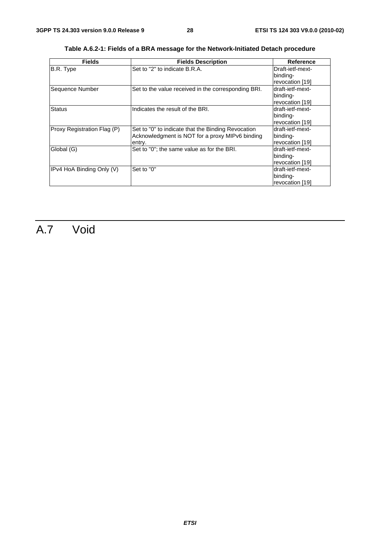| <b>Fields</b>               | <b>Fields Description</b>                           | Reference        |  |
|-----------------------------|-----------------------------------------------------|------------------|--|
| B.R. Type                   | Set to "2" to indicate B.R.A.                       | Draft-ietf-mext- |  |
|                             |                                                     | binding-         |  |
|                             |                                                     | revocation [19]  |  |
| Sequence Number             | Set to the value received in the corresponding BRI. | draft-ietf-mext- |  |
|                             |                                                     | binding-         |  |
|                             |                                                     | revocation [19]  |  |
| <b>Status</b>               | Indicates the result of the BRI.                    | draft-ietf-mext- |  |
|                             |                                                     | binding-         |  |
|                             |                                                     | revocation [19]  |  |
| Proxy Registration Flag (P) | Set to "0" to indicate that the Binding Revocation  | draft-ietf-mext- |  |
|                             | Acknowledgment is NOT for a proxy MIPv6 binding     | binding-         |  |
|                             | entry.                                              | revocation [19]  |  |
| Global (G)                  | Set to "0"; the same value as for the BRI.          | draft-ietf-mext- |  |
|                             |                                                     | binding-         |  |
|                             |                                                     | revocation [19]  |  |
| IPv4 HoA Binding Only (V)   | Set to "0"                                          | draft-ietf-mext- |  |
|                             |                                                     | binding-         |  |
|                             |                                                     | revocation [19]  |  |

**Table A.6.2-1: Fields of a BRA message for the Network-Initiated Detach procedure** 

## A.7 Void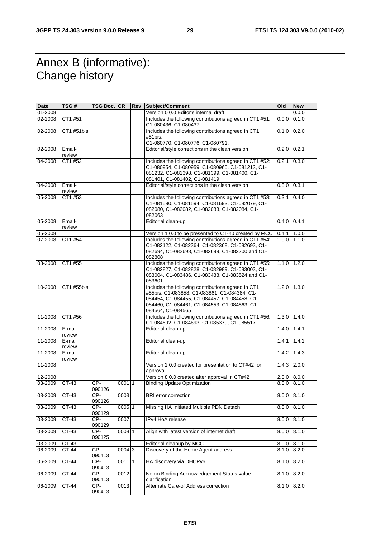### Annex B (informative): Change history

| Date    | TSG#             | TSG Doc. CR     |          | <b>Rev Subject/Comment</b>                                                                                                                                                                                              | Old               | <b>New</b> |
|---------|------------------|-----------------|----------|-------------------------------------------------------------------------------------------------------------------------------------------------------------------------------------------------------------------------|-------------------|------------|
| 01-2008 |                  |                 |          | Version 0.0.0 Editor's internal draft                                                                                                                                                                                   |                   | 0.0.0      |
| 02-2008 | CT1 #51          |                 |          | Includes the following contributions agreed in CT1 #51:<br>C1-080436, C1-080437                                                                                                                                         | 0.0.0             | 0.1.0      |
| 02-2008 | CT1 #51bis       |                 |          | Includes the following contributions agreed in CT1<br>#51bis:                                                                                                                                                           | 0.1.0             | 0.2.0      |
|         |                  |                 |          | C1-080770, C1-080776, C1-080791.                                                                                                                                                                                        |                   |            |
| 02-2008 | Email-<br>review |                 |          | Editorial/style corrections in the clean version                                                                                                                                                                        | 0.2.0             | 0.2.1      |
| 04-2008 | CT1 #52          |                 |          | Includes the following contributions agreed in CT1 #52:<br>C1-080954, C1-080959, C1-080960, C1-081213, C1-<br>081232, C1-081398, C1-081399, C1-081400, C1-<br>081401, C1-081402, C1-081419                              | 0.2.1             | 0.3.0      |
| 04-2008 | Email-<br>review |                 |          | Editorial/style corrections in the clean version                                                                                                                                                                        | 0.3.0             | 0.3.1      |
| 05-2008 | CT1 #53          |                 |          | Includes the following contributions agreed in CT1 #53:<br>C1-081590, C1-081594, C1-081693, C1-082079, C1-<br>082080, C1-082082, C1-082083, C1-082084, C1-<br>082063                                                    | 0.3.1             | 0.4.0      |
| 05-2008 | Email-<br>review |                 |          | Editorial clean-up                                                                                                                                                                                                      | $0.4.0$ 0.4.1     |            |
| 05-2008 |                  |                 |          | Version 1.0.0 to be presented to CT-40 created by MCC                                                                                                                                                                   | 0.4.1             | 1.0.0      |
| 07-2008 | CT1 #54          |                 |          | Includes the following contributions agreed in CT1 #54:<br>C1-082122, C1-082364, C1-082368, C1-082693, C1-<br>082694, C1-082698, C1-082699, C1-082700 and C1-<br>082808                                                 | 1.0.0             | 1.1.0      |
| 08-2008 | CT1 #55          |                 |          | Includes the following contributions agreed in CT1 #55:<br>C1-082827, C1-082828, C1-082989, C1-083003, C1-<br>083004, C1-083486, C1-083488, C1-083524 and C1-<br>083601                                                 | $1.1.0$   $1.2.0$ |            |
| 10-2008 | CT1 #55bis       |                 |          | Includes the following contributions agreed in CT1<br>#55bis: C1-083858, C1-083861, C1-084384, C1-<br>084454, C1-084455, C1-084457, C1-084458, C1-<br>084460, C1-084461, C1-084553, C1-084563, C1-<br>084564, C1-084565 | 1.2.0             | 1.3.0      |
| 11-2008 | CT1 #56          |                 |          | Includes the following contributions agreed in CT1 #56:<br>C1-084692, C1-084693, C1-085379, C1-085517                                                                                                                   | 1.3.0             | 1.4.0      |
| 11-2008 | E-mail<br>review |                 |          | Editorial clean-up                                                                                                                                                                                                      | 1.4.0             | 1.4.1      |
| 11-2008 | E-mail<br>review |                 |          | Editorial clean-up                                                                                                                                                                                                      | 1.4.1             | 1.4.2      |
| 11-2008 | E-mail<br>review |                 |          | Editorial clean-up                                                                                                                                                                                                      | 1.4.2             | 1.4.3      |
| 11-2008 |                  |                 |          | Version 2.0.0 created for presentation to CT#42 for<br>approval                                                                                                                                                         | 1.4.3             | 2.0.0      |
| 12-2008 |                  |                 |          | Version 8.0.0 created after approval in CT#42                                                                                                                                                                           | 2.0.0             | 8.0.0      |
| 03-2009 | CT-43            | CP-<br>090126   | 00011    | <b>Binding Update Optimization</b>                                                                                                                                                                                      | 8.0.0             | 8.1.0      |
| 03-2009 | $CT-43$          | $CP-$<br>090126 | 0003     | <b>BRI</b> error correction                                                                                                                                                                                             | 8.0.0             | 8.1.0      |
| 03-2009 | $CT-43$          | CP-<br>090129   | 0005 1   | Missing HA Initiated Multiple PDN Detach                                                                                                                                                                                | 8.0.0             | 8.1.0      |
| 03-2009 | $CT-43$          | CP-<br>090129   | 0007     | IPv4 HoA release                                                                                                                                                                                                        | 8.0.0             | 8.1.0      |
| 03-2009 | CT-43            | CP-<br>090125   | 0008 1   | Align with latest version of internet draft                                                                                                                                                                             | 8.0.0             | 8.1.0      |
| 03-2009 | CT-43            |                 |          | Editorial cleanup by MCC                                                                                                                                                                                                | 8.0.0             | 8.1.0      |
| 06-2009 | CT-44            | CP-<br>090413   | 0004 3   | Discovery of the Home Agent address                                                                                                                                                                                     | 8.1.0             | 8.2.0      |
| 06-2009 | $CT-44$          | $CP-$<br>090413 | $0011$ 1 | HA discovery via DHCPv6                                                                                                                                                                                                 | 8.1.0             | 8.2.0      |
| 06-2009 | $CT-44$          | $CP-$<br>090413 | 0012     | Nemo Binding Acknowledgement Status value<br>clarification                                                                                                                                                              | 8.1.0             | 8.2.0      |
| 06-2009 | CT-44            | CP-<br>090413   | 0013     | Alternate Care-of Address correction                                                                                                                                                                                    | 8.1.0             | 8.2.0      |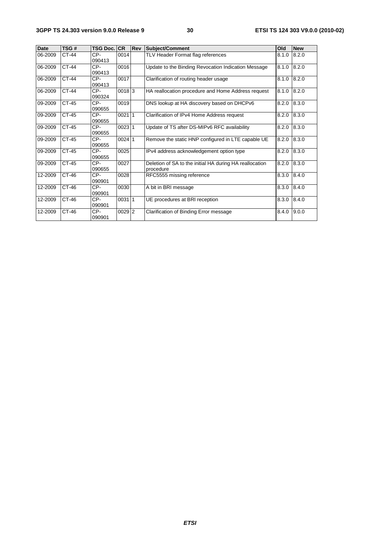| <b>Date</b> | TSG#    | <b>TSG Doc. ICR</b> |          | <b>Rev</b> | <b>Subject/Comment</b>                                               | Old   | <b>New</b> |
|-------------|---------|---------------------|----------|------------|----------------------------------------------------------------------|-------|------------|
| 06-2009     | CT-44   | CP-<br>090413       | 0014     |            | TLV Header Format flag references                                    | 8.1.0 | 8.2.0      |
| 06-2009     | CT-44   | CP-<br>090413       | 0016     |            | Update to the Binding Revocation Indication Message                  | 8.1.0 | 8.2.0      |
| 06-2009     | CT-44   | CP-<br>090413       | 0017     |            | Clarification of routing header usage                                | 8.1.0 | 8.2.0      |
| 06-2009     | CT-44   | CP-<br>090324       | $0018$ 3 |            | HA reallocation procedure and Home Address request                   | 8.1.0 | 8.2.0      |
| 09-2009     | CT-45   | CP-<br>090655       | 0019     |            | DNS lookup at HA discovery based on DHCPv6                           | 8.2.0 | 8.3.0      |
| 09-2009     | CT-45   | CP-<br>090655       | 002111   |            | Clarification of IPv4 Home Address request                           | 8.2.0 | 8.3.0      |
| 09-2009     | CT-45   | CP-<br>090655       | 002311   |            | Update of TS after DS-MIPv6 RFC availability                         | 8.2.0 | 8.3.0      |
| 09-2009     | CT-45   | CP-<br>090655       | $0024$ 1 |            | Remove the static HNP configured in LTE capable UE                   | 8.2.0 | 8.3.0      |
| 09-2009     | CT-45   | CP-<br>090655       | 0025     |            | IPv4 address acknowledgement option type                             | 8.2.0 | 8.3.0      |
| 09-2009     | CT-45   | CP-<br>090655       | 0027     |            | Deletion of SA to the initial HA during HA reallocation<br>procedure | 8.2.0 | 8.3.0      |
| 12-2009     | $CT-46$ | CP-<br>090901       | 0028     |            | RFC5555 missing reference                                            | 8.3.0 | 8.4.0      |
| 12-2009     | CT-46   | CP-<br>090901       | 0030     |            | A bit in BRI message                                                 | 8.3.0 | 8.4.0      |
| 12-2009     | $CT-46$ | $CP-$<br>090901     | 00311    |            | UE procedures at BRI reception                                       | 8.3.0 | 8.4.0      |
| 12-2009     | CT-46   | CP-<br>090901       | $0029$ 2 |            | Clarification of Binding Error message                               | 8.4.0 | 9.0.0      |